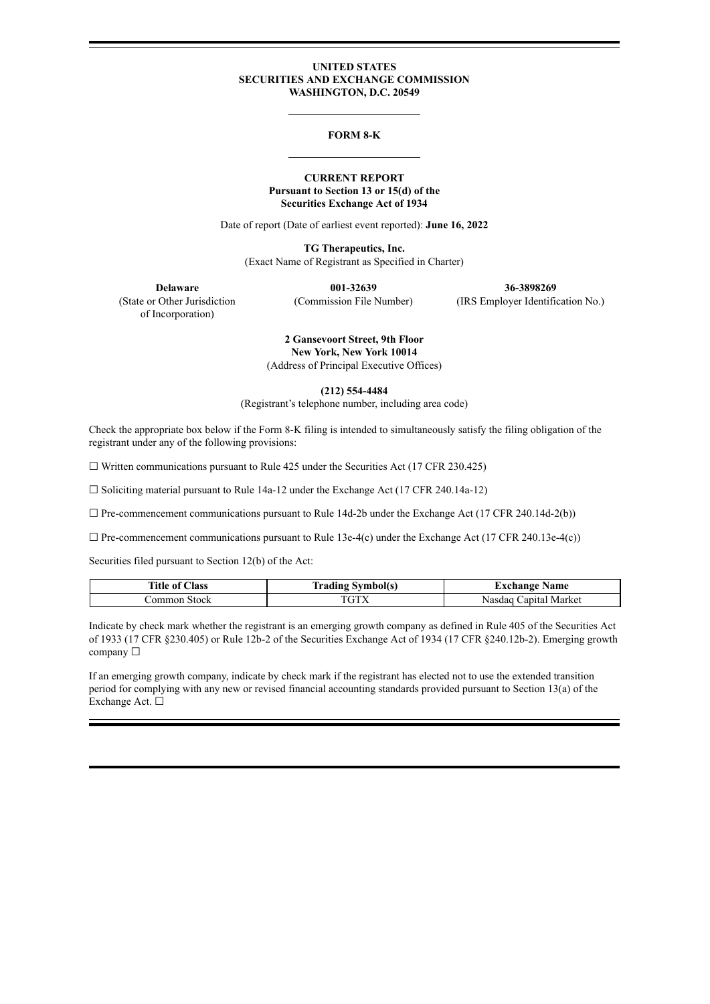### **UNITED STATES SECURITIES AND EXCHANGE COMMISSION WASHINGTON, D.C. 20549**

#### **FORM 8-K**

### **CURRENT REPORT Pursuant to Section 13 or 15(d) of the Securities Exchange Act of 1934**

Date of report (Date of earliest event reported): **June 16, 2022**

**TG Therapeutics, Inc.** (Exact Name of Registrant as Specified in Charter)

**Delaware 001-32639 36-3898269** (State or Other Jurisdiction (Commission File Number) (IRS Employer Identification No.)

of Incorporation)

**2 Gansevoort Street, 9th Floor New York, New York 10014** (Address of Principal Executive Offices)

**(212) 554-4484**

(Registrant's telephone number, including area code)

Check the appropriate box below if the Form 8-K filing is intended to simultaneously satisfy the filing obligation of the registrant under any of the following provisions:

 $\Box$  Written communications pursuant to Rule 425 under the Securities Act (17 CFR 230.425)

 $\Box$  Soliciting material pursuant to Rule 14a-12 under the Exchange Act (17 CFR 240.14a-12)

 $\Box$  Pre-commencement communications pursuant to Rule 14d-2b under the Exchange Act (17 CFR 240.14d-2(b))

 $\Box$  Pre-commencement communications pursuant to Rule 13e-4(c) under the Exchange Act (17 CFR 240.13e-4(c))

Securities filed pursuant to Section 12(b) of the Act:

| Title of <b>w</b><br>Aass: | <b>Trading Symbol(s)</b> | <b>Exchange Name</b>     |
|----------------------------|--------------------------|--------------------------|
| ∴ommon Stock               |                          | Capital Market<br>Nasdaq |

Indicate by check mark whether the registrant is an emerging growth company as defined in Rule 405 of the Securities Act of 1933 (17 CFR §230.405) or Rule 12b-2 of the Securities Exchange Act of 1934 (17 CFR §240.12b-2). Emerging growth company □

If an emerging growth company, indicate by check mark if the registrant has elected not to use the extended transition period for complying with any new or revised financial accounting standards provided pursuant to Section 13(a) of the Exchange Act. ☐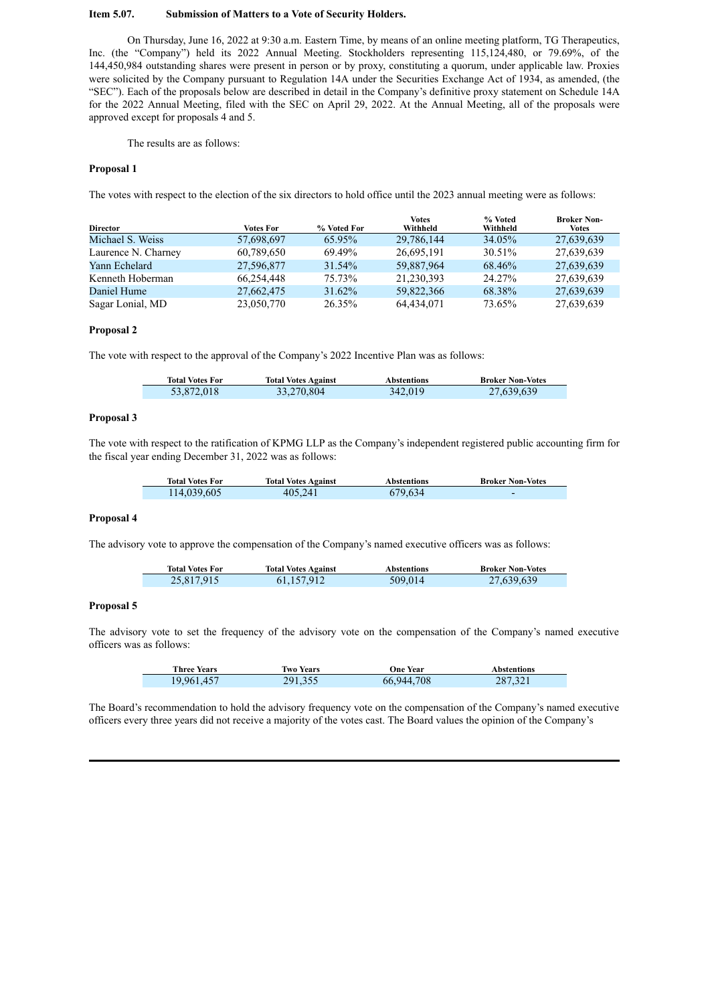### **Item 5.07. Submission of Matters to a Vote of Security Holders.**

On Thursday, June 16, 2022 at 9:30 a.m. Eastern Time, by means of an online meeting platform, TG Therapeutics, Inc. (the "Company") held its 2022 Annual Meeting. Stockholders representing 115,124,480, or 79.69%, of the 144,450,984 outstanding shares were present in person or by proxy, constituting a quorum, under applicable law. Proxies were solicited by the Company pursuant to Regulation 14A under the Securities Exchange Act of 1934, as amended, (the "SEC"). Each of the proposals below are described in detail in the Company's definitive proxy statement on Schedule 14A for the 2022 Annual Meeting, filed with the SEC on April 29, 2022. At the Annual Meeting, all of the proposals were approved except for proposals 4 and 5.

The results are as follows:

### **Proposal 1**

The votes with respect to the election of the six directors to hold office until the 2023 annual meeting were as follows:

| <b>Director</b>     | <b>Votes For</b> | % Voted For | Votes<br>Withheld | % Voted<br>Withheld | <b>Broker Non-</b><br>Votes |
|---------------------|------------------|-------------|-------------------|---------------------|-----------------------------|
| Michael S. Weiss    | 57,698,697       | 65.95%      | 29,786,144        | 34.05%              | 27,639,639                  |
| Laurence N. Charney | 60,789,650       | 69.49%      | 26,695,191        | 30.51%              | 27,639,639                  |
| Yann Echelard       | 27,596,877       | 31.54%      | 59,887,964        | 68.46%              | 27,639,639                  |
| Kenneth Hoberman    | 66,254,448       | 75.73%      | 21,230,393        | 24.27%              | 27,639,639                  |
| Daniel Hume         | 27,662,475       | 31.62%      | 59,822,366        | 68.38%              | 27,639,639                  |
| Sagar Lonial, MD    | 23,050,770       | 26.35%      | 64.434.071        | 73.65%              | 27,639,639                  |

### **Proposal 2**

The vote with respect to the approval of the Company's 2022 Incentive Plan was as follows:

| <b>Total Votes For</b> | <b>Total Votes Against</b> | Abstentions | <b>Broker Non-Votes</b> |
|------------------------|----------------------------|-------------|-------------------------|
| 53,872,018             | 33,270,804                 | 342.019     | 27,639,639              |

#### **Proposal 3**

The vote with respect to the ratification of KPMG LLP as the Company's independent registered public accounting firm for the fiscal year ending December 31, 2022 was as follows:

| <b>Total Votes For</b> | <b>Total Votes Against</b> | Abstentions | <b>Broker Non-Votes</b>  |
|------------------------|----------------------------|-------------|--------------------------|
| 114,039,605            | 405,241                    | 679,634     | $\overline{\phantom{0}}$ |

#### **Proposal 4**

The advisory vote to approve the compensation of the Company's named executive officers was as follows:

| <b>Total Votes For</b> | <b>Total Votes Against</b> | Abstentions | <b>Broker Non-Votes</b> |
|------------------------|----------------------------|-------------|-------------------------|
| 25,817,915             | 61,157,912                 | 509,014     | 27,639,639              |

### **Proposal 5**

The advisory vote to set the frequency of the advisory vote on the compensation of the Company's named executive officers was as follows:

| <b>Three Years</b> | <b>Two Years</b> | <b>One Year</b> | Abstentions |
|--------------------|------------------|-----------------|-------------|
| 19,961,457         | 291,355          | 66,944,708      | 287,321     |

The Board's recommendation to hold the advisory frequency vote on the compensation of the Company's named executive officers every three years did not receive a majority of the votes cast. The Board values the opinion of the Company's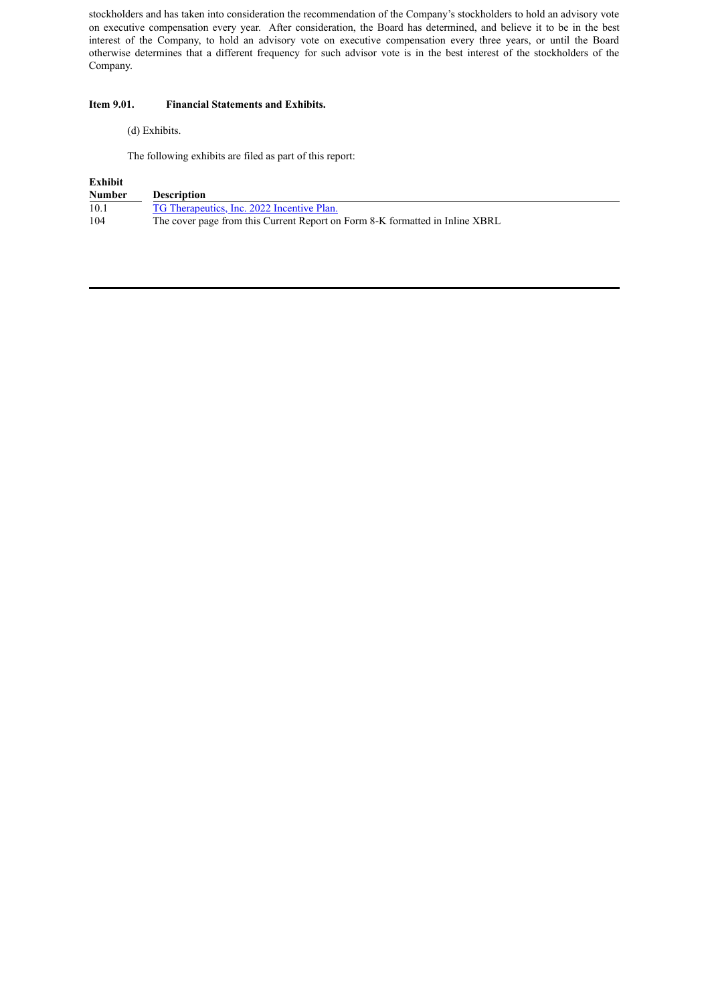stockholders and has taken into consideration the recommendation of the Company's stockholders to hold an advisory vote on executive compensation every year. After consideration, the Board has determined, and believe it to be in the best interest of the Company, to hold an advisory vote on executive compensation every three years, or until the Board otherwise determines that a different frequency for such advisor vote is in the best interest of the stockholders of the Company.

## **Item 9.01. Financial Statements and Exhibits.**

## (d) Exhibits.

The following exhibits are filed as part of this report:

# **Exhibit**

| Number | <b>Description</b>                                                           |
|--------|------------------------------------------------------------------------------|
| 10.1   | TG Therapeutics, Inc. 2022 Incentive Plan.                                   |
| 104    | The cover page from this Current Report on Form 8-K formatted in Inline XBRL |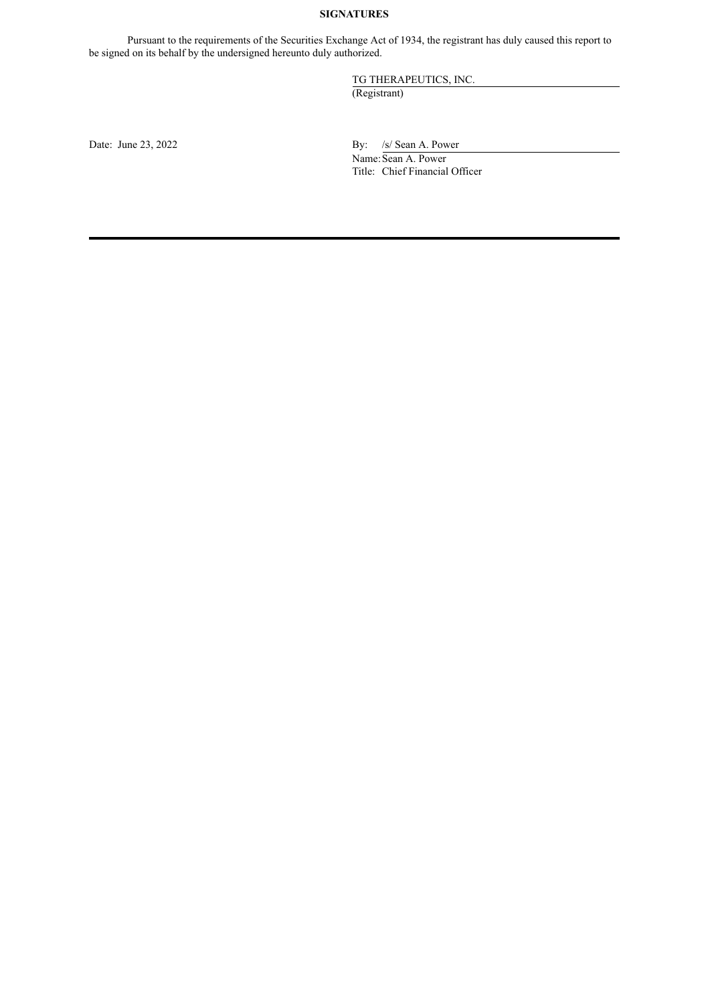# **SIGNATURES**

Pursuant to the requirements of the Securities Exchange Act of 1934, the registrant has duly caused this report to be signed on its behalf by the undersigned hereunto duly authorized.

TG THERAPEUTICS, INC.

(Registrant)

Date: June  $23, 2022$  By:  $\frac{1}{s}$  Sean A. Power Name: Sean A. Power Title: Chief Financial Officer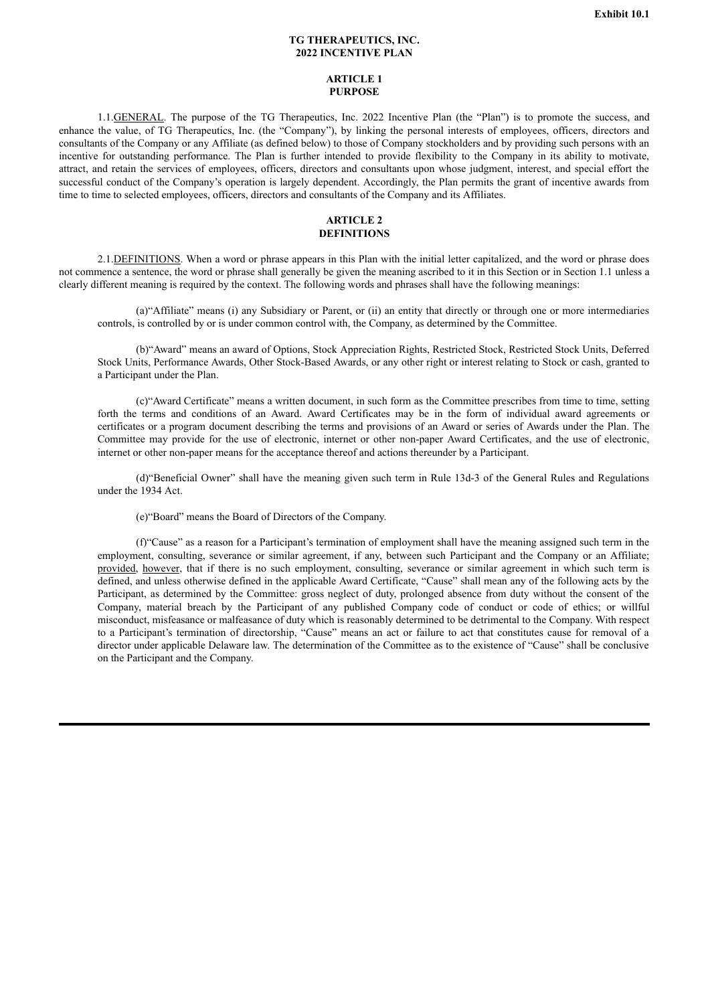### **TG THERAPEUTICS, INC. 2022 INCENTIVE PLAN**

### **ARTICLE 1 PURPOSE**

<span id="page-4-0"></span>1.1.GENERAL. The purpose of the TG Therapeutics, Inc. 2022 Incentive Plan (the "Plan") is to promote the success, and enhance the value, of TG Therapeutics, Inc. (the "Company"), by linking the personal interests of employees, officers, directors and consultants of the Company or any Affiliate (as defined below) to those of Company stockholders and by providing such persons with an incentive for outstanding performance. The Plan is further intended to provide flexibility to the Company in its ability to motivate, attract, and retain the services of employees, officers, directors and consultants upon whose judgment, interest, and special effort the successful conduct of the Company's operation is largely dependent. Accordingly, the Plan permits the grant of incentive awards from time to time to selected employees, officers, directors and consultants of the Company and its Affiliates.

## **ARTICLE 2 DEFINITIONS**

2.1.DEFINITIONS. When a word or phrase appears in this Plan with the initial letter capitalized, and the word or phrase does not commence a sentence, the word or phrase shall generally be given the meaning ascribed to it in this Section or in Section 1.1 unless a clearly different meaning is required by the context. The following words and phrases shall have the following meanings:

(a)"Affiliate" means (i) any Subsidiary or Parent, or (ii) an entity that directly or through one or more intermediaries controls, is controlled by or is under common control with, the Company, as determined by the Committee.

(b)"Award" means an award of Options, Stock Appreciation Rights, Restricted Stock, Restricted Stock Units, Deferred Stock Units, Performance Awards, Other Stock-Based Awards, or any other right or interest relating to Stock or cash, granted to a Participant under the Plan.

(c)"Award Certificate" means a written document, in such form as the Committee prescribes from time to time, setting forth the terms and conditions of an Award. Award Certificates may be in the form of individual award agreements or certificates or a program document describing the terms and provisions of an Award or series of Awards under the Plan. The Committee may provide for the use of electronic, internet or other non-paper Award Certificates, and the use of electronic, internet or other non-paper means for the acceptance thereof and actions thereunder by a Participant.

(d)"Beneficial Owner" shall have the meaning given such term in Rule 13d-3 of the General Rules and Regulations under the 1934 Act.

(e)"Board" means the Board of Directors of the Company.

(f)"Cause" as a reason for a Participant's termination of employment shall have the meaning assigned such term in the employment, consulting, severance or similar agreement, if any, between such Participant and the Company or an Affiliate; provided, however, that if there is no such employment, consulting, severance or similar agreement in which such term is defined, and unless otherwise defined in the applicable Award Certificate, "Cause" shall mean any of the following acts by the Participant, as determined by the Committee: gross neglect of duty, prolonged absence from duty without the consent of the Company, material breach by the Participant of any published Company code of conduct or code of ethics; or willful misconduct, misfeasance or malfeasance of duty which is reasonably determined to be detrimental to the Company. With respect to a Participant's termination of directorship, "Cause" means an act or failure to act that constitutes cause for removal of a director under applicable Delaware law. The determination of the Committee as to the existence of "Cause" shall be conclusive on the Participant and the Company.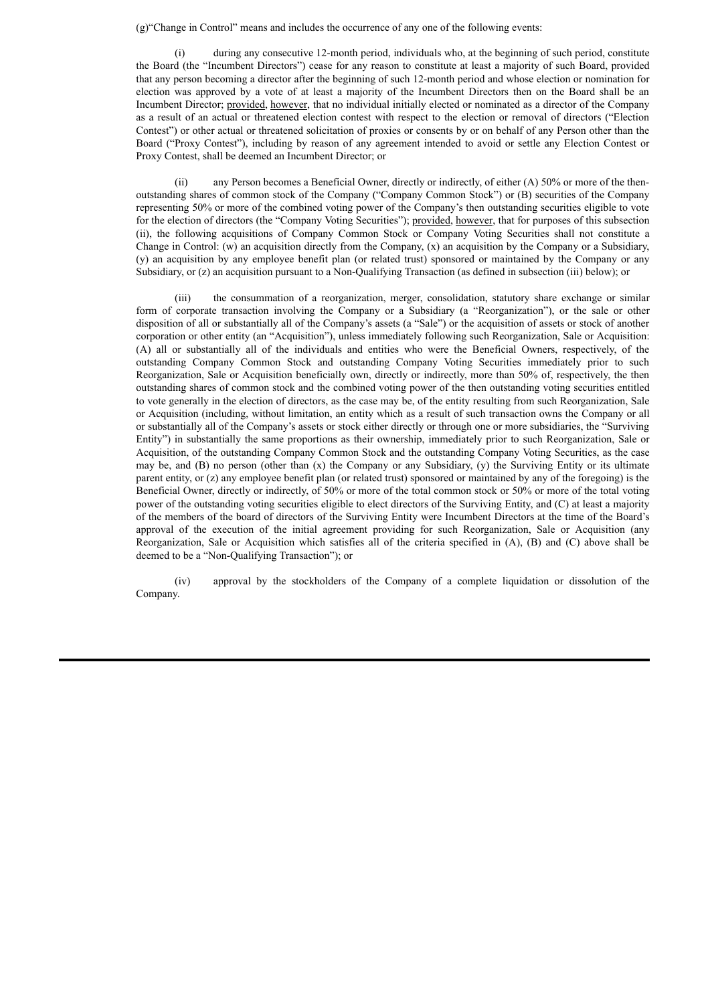(g)"Change in Control" means and includes the occurrence of any one of the following events:

(i) during any consecutive 12-month period, individuals who, at the beginning of such period, constitute the Board (the "Incumbent Directors") cease for any reason to constitute at least a majority of such Board, provided that any person becoming a director after the beginning of such 12-month period and whose election or nomination for election was approved by a vote of at least a majority of the Incumbent Directors then on the Board shall be an Incumbent Director; provided, however, that no individual initially elected or nominated as a director of the Company as a result of an actual or threatened election contest with respect to the election or removal of directors ("Election Contest") or other actual or threatened solicitation of proxies or consents by or on behalf of any Person other than the Board ("Proxy Contest"), including by reason of any agreement intended to avoid or settle any Election Contest or Proxy Contest, shall be deemed an Incumbent Director; or

(ii) any Person becomes a Beneficial Owner, directly or indirectly, of either (A) 50% or more of the thenoutstanding shares of common stock of the Company ("Company Common Stock") or (B) securities of the Company representing 50% or more of the combined voting power of the Company's then outstanding securities eligible to vote for the election of directors (the "Company Voting Securities"); provided, however, that for purposes of this subsection (ii), the following acquisitions of Company Common Stock or Company Voting Securities shall not constitute a Change in Control: (w) an acquisition directly from the Company, (x) an acquisition by the Company or a Subsidiary, (y) an acquisition by any employee benefit plan (or related trust) sponsored or maintained by the Company or any Subsidiary, or (z) an acquisition pursuant to a Non-Qualifying Transaction (as defined in subsection (iii) below); or

(iii) the consummation of a reorganization, merger, consolidation, statutory share exchange or similar form of corporate transaction involving the Company or a Subsidiary (a "Reorganization"), or the sale or other disposition of all or substantially all of the Company's assets (a "Sale") or the acquisition of assets or stock of another corporation or other entity (an "Acquisition"), unless immediately following such Reorganization, Sale or Acquisition: (A) all or substantially all of the individuals and entities who were the Beneficial Owners, respectively, of the outstanding Company Common Stock and outstanding Company Voting Securities immediately prior to such Reorganization, Sale or Acquisition beneficially own, directly or indirectly, more than 50% of, respectively, the then outstanding shares of common stock and the combined voting power of the then outstanding voting securities entitled to vote generally in the election of directors, as the case may be, of the entity resulting from such Reorganization, Sale or Acquisition (including, without limitation, an entity which as a result of such transaction owns the Company or all or substantially all of the Company's assets or stock either directly or through one or more subsidiaries, the "Surviving Entity") in substantially the same proportions as their ownership, immediately prior to such Reorganization, Sale or Acquisition, of the outstanding Company Common Stock and the outstanding Company Voting Securities, as the case may be, and (B) no person (other than  $(x)$  the Company or any Subsidiary, (y) the Surviving Entity or its ultimate parent entity, or (z) any employee benefit plan (or related trust) sponsored or maintained by any of the foregoing) is the Beneficial Owner, directly or indirectly, of 50% or more of the total common stock or 50% or more of the total voting power of the outstanding voting securities eligible to elect directors of the Surviving Entity, and (C) at least a majority of the members of the board of directors of the Surviving Entity were Incumbent Directors at the time of the Board's approval of the execution of the initial agreement providing for such Reorganization, Sale or Acquisition (any Reorganization, Sale or Acquisition which satisfies all of the criteria specified in (A), (B) and (C) above shall be deemed to be a "Non-Qualifying Transaction"); or

(iv) approval by the stockholders of the Company of a complete liquidation or dissolution of the Company.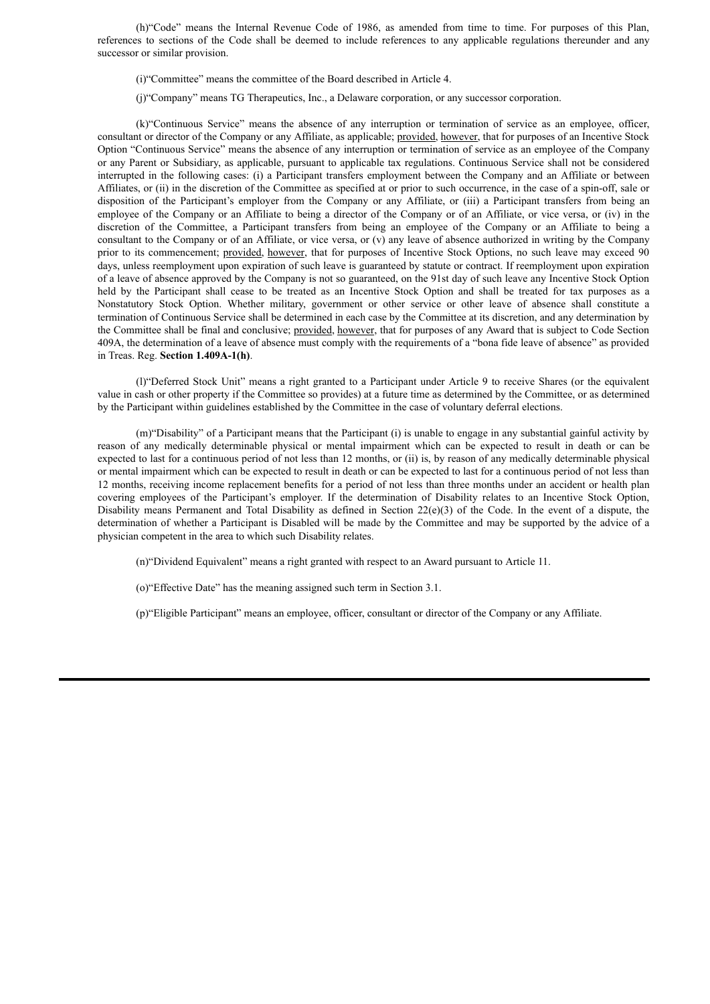(h)"Code" means the Internal Revenue Code of 1986, as amended from time to time. For purposes of this Plan, references to sections of the Code shall be deemed to include references to any applicable regulations thereunder and any successor or similar provision.

- (i)"Committee" means the committee of the Board described in Article 4.
- (j)"Company" means TG Therapeutics, Inc., a Delaware corporation, or any successor corporation.

(k)"Continuous Service" means the absence of any interruption or termination of service as an employee, officer, consultant or director of the Company or any Affiliate, as applicable; provided, however, that for purposes of an Incentive Stock Option "Continuous Service" means the absence of any interruption or termination of service as an employee of the Company or any Parent or Subsidiary, as applicable, pursuant to applicable tax regulations. Continuous Service shall not be considered interrupted in the following cases: (i) a Participant transfers employment between the Company and an Affiliate or between Affiliates, or (ii) in the discretion of the Committee as specified at or prior to such occurrence, in the case of a spin-off, sale or disposition of the Participant's employer from the Company or any Affiliate, or (iii) a Participant transfers from being an employee of the Company or an Affiliate to being a director of the Company or of an Affiliate, or vice versa, or (iv) in the discretion of the Committee, a Participant transfers from being an employee of the Company or an Affiliate to being a consultant to the Company or of an Affiliate, or vice versa, or (v) any leave of absence authorized in writing by the Company prior to its commencement; provided, however, that for purposes of Incentive Stock Options, no such leave may exceed 90 days, unless reemployment upon expiration of such leave is guaranteed by statute or contract. If reemployment upon expiration of a leave of absence approved by the Company is not so guaranteed, on the 91st day of such leave any Incentive Stock Option held by the Participant shall cease to be treated as an Incentive Stock Option and shall be treated for tax purposes as a Nonstatutory Stock Option. Whether military, government or other service or other leave of absence shall constitute a termination of Continuous Service shall be determined in each case by the Committee at its discretion, and any determination by the Committee shall be final and conclusive; provided, however, that for purposes of any Award that is subject to Code Section 409A, the determination of a leave of absence must comply with the requirements of a "bona fide leave of absence" as provided in Treas. Reg. **Section 1.409A-1(h)**.

(l)"Deferred Stock Unit" means a right granted to a Participant under Article 9 to receive Shares (or the equivalent value in cash or other property if the Committee so provides) at a future time as determined by the Committee, or as determined by the Participant within guidelines established by the Committee in the case of voluntary deferral elections.

(m)"Disability" of a Participant means that the Participant (i) is unable to engage in any substantial gainful activity by reason of any medically determinable physical or mental impairment which can be expected to result in death or can be expected to last for a continuous period of not less than 12 months, or (ii) is, by reason of any medically determinable physical or mental impairment which can be expected to result in death or can be expected to last for a continuous period of not less than 12 months, receiving income replacement benefits for a period of not less than three months under an accident or health plan covering employees of the Participant's employer. If the determination of Disability relates to an Incentive Stock Option, Disability means Permanent and Total Disability as defined in Section  $22(e)(3)$  of the Code. In the event of a dispute, the determination of whether a Participant is Disabled will be made by the Committee and may be supported by the advice of a physician competent in the area to which such Disability relates.

(n)"Dividend Equivalent" means a right granted with respect to an Award pursuant to Article 11.

(o)"Effective Date" has the meaning assigned such term in Section 3.1.

(p)"Eligible Participant" means an employee, officer, consultant or director of the Company or any Affiliate.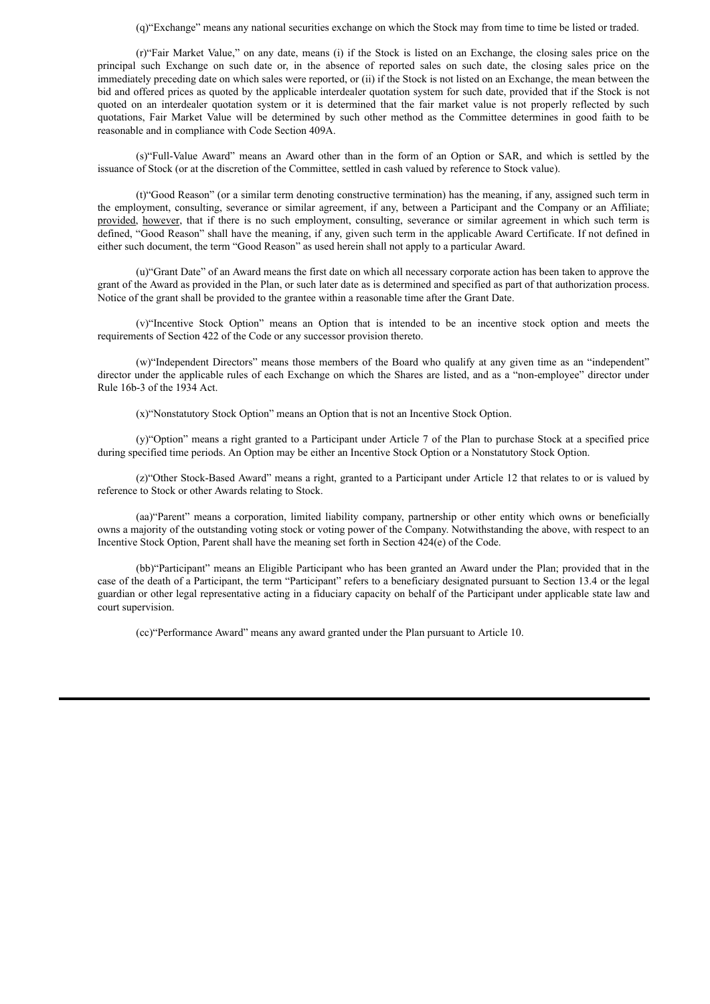(q)"Exchange" means any national securities exchange on which the Stock may from time to time be listed or traded.

(r)"Fair Market Value," on any date, means (i) if the Stock is listed on an Exchange, the closing sales price on the principal such Exchange on such date or, in the absence of reported sales on such date, the closing sales price on the immediately preceding date on which sales were reported, or (ii) if the Stock is not listed on an Exchange, the mean between the bid and offered prices as quoted by the applicable interdealer quotation system for such date, provided that if the Stock is not quoted on an interdealer quotation system or it is determined that the fair market value is not properly reflected by such quotations. Fair Market Value will be determined by such other method as the Committee determines in good faith to be reasonable and in compliance with Code Section 409A.

(s)"Full-Value Award" means an Award other than in the form of an Option or SAR, and which is settled by the issuance of Stock (or at the discretion of the Committee, settled in cash valued by reference to Stock value).

(t)"Good Reason" (or a similar term denoting constructive termination) has the meaning, if any, assigned such term in the employment, consulting, severance or similar agreement, if any, between a Participant and the Company or an Affiliate; provided, however, that if there is no such employment, consulting, severance or similar agreement in which such term is defined, "Good Reason" shall have the meaning, if any, given such term in the applicable Award Certificate. If not defined in either such document, the term "Good Reason" as used herein shall not apply to a particular Award.

(u)"Grant Date" of an Award means the first date on which all necessary corporate action has been taken to approve the grant of the Award as provided in the Plan, or such later date as is determined and specified as part of that authorization process. Notice of the grant shall be provided to the grantee within a reasonable time after the Grant Date.

(v)"Incentive Stock Option" means an Option that is intended to be an incentive stock option and meets the requirements of Section 422 of the Code or any successor provision thereto.

(w)"Independent Directors" means those members of the Board who qualify at any given time as an "independent" director under the applicable rules of each Exchange on which the Shares are listed, and as a "non-employee" director under Rule 16b-3 of the 1934 Act.

(x)"Nonstatutory Stock Option" means an Option that is not an Incentive Stock Option.

(y)"Option" means a right granted to a Participant under Article 7 of the Plan to purchase Stock at a specified price during specified time periods. An Option may be either an Incentive Stock Option or a Nonstatutory Stock Option.

(z)"Other Stock-Based Award" means a right, granted to a Participant under Article 12 that relates to or is valued by reference to Stock or other Awards relating to Stock.

(aa)"Parent" means a corporation, limited liability company, partnership or other entity which owns or beneficially owns a majority of the outstanding voting stock or voting power of the Company. Notwithstanding the above, with respect to an Incentive Stock Option, Parent shall have the meaning set forth in Section 424(e) of the Code.

(bb)"Participant" means an Eligible Participant who has been granted an Award under the Plan; provided that in the case of the death of a Participant, the term "Participant" refers to a beneficiary designated pursuant to Section 13.4 or the legal guardian or other legal representative acting in a fiduciary capacity on behalf of the Participant under applicable state law and court supervision.

(cc)"Performance Award" means any award granted under the Plan pursuant to Article 10.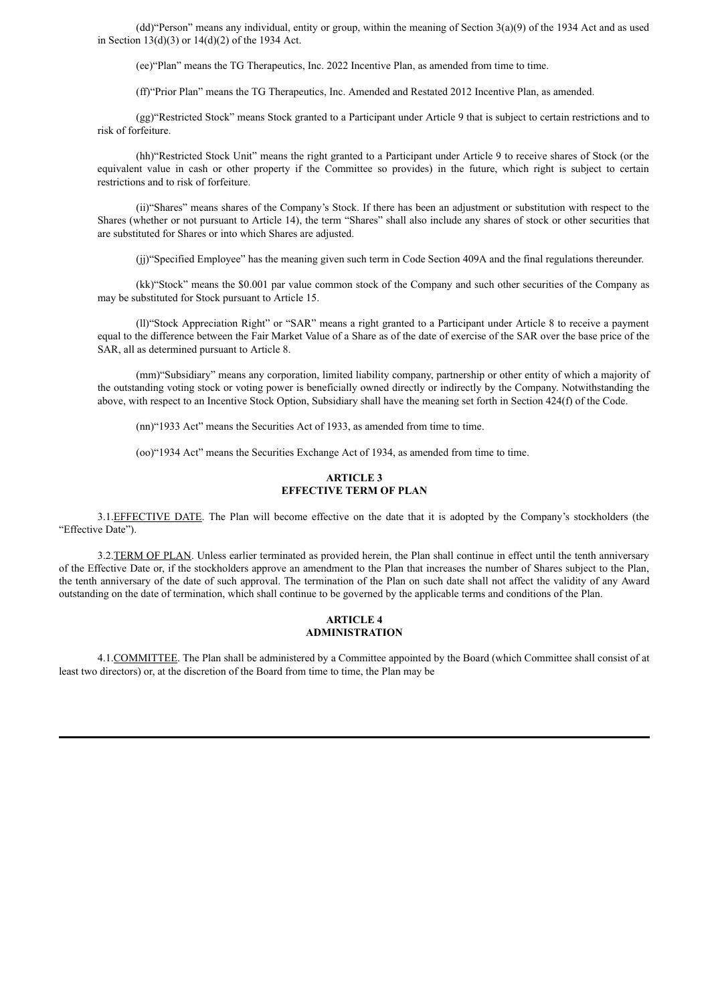(dd)"Person" means any individual, entity or group, within the meaning of Section 3(a)(9) of the 1934 Act and as used in Section  $13(d)(3)$  or  $14(d)(2)$  of the 1934 Act.

(ee)"Plan" means the TG Therapeutics, Inc. 2022 Incentive Plan, as amended from time to time.

(ff)"Prior Plan" means the TG Therapeutics, Inc. Amended and Restated 2012 Incentive Plan, as amended.

(gg)"Restricted Stock" means Stock granted to a Participant under Article 9 that is subject to certain restrictions and to risk of forfeiture.

(hh)"Restricted Stock Unit" means the right granted to a Participant under Article 9 to receive shares of Stock (or the equivalent value in cash or other property if the Committee so provides) in the future, which right is subject to certain restrictions and to risk of forfeiture.

(ii)"Shares" means shares of the Company's Stock. If there has been an adjustment or substitution with respect to the Shares (whether or not pursuant to Article 14), the term "Shares" shall also include any shares of stock or other securities that are substituted for Shares or into which Shares are adjusted.

(jj)"Specified Employee" has the meaning given such term in Code Section 409A and the final regulations thereunder.

(kk)"Stock" means the \$0.001 par value common stock of the Company and such other securities of the Company as may be substituted for Stock pursuant to Article 15.

(ll)"Stock Appreciation Right" or "SAR" means a right granted to a Participant under Article 8 to receive a payment equal to the difference between the Fair Market Value of a Share as of the date of exercise of the SAR over the base price of the SAR, all as determined pursuant to Article 8.

(mm)"Subsidiary" means any corporation, limited liability company, partnership or other entity of which a majority of the outstanding voting stock or voting power is beneficially owned directly or indirectly by the Company. Notwithstanding the above, with respect to an Incentive Stock Option, Subsidiary shall have the meaning set forth in Section 424(f) of the Code.

(nn)"1933 Act" means the Securities Act of 1933, as amended from time to time.

(oo)"1934 Act" means the Securities Exchange Act of 1934, as amended from time to time.

### **ARTICLE 3 EFFECTIVE TERM OF PLAN**

3.1.EFFECTIVE DATE. The Plan will become effective on the date that it is adopted by the Company's stockholders (the "Effective Date").

3.2.TERM OF PLAN. Unless earlier terminated as provided herein, the Plan shall continue in effect until the tenth anniversary of the Effective Date or, if the stockholders approve an amendment to the Plan that increases the number of Shares subject to the Plan, the tenth anniversary of the date of such approval. The termination of the Plan on such date shall not affect the validity of any Award outstanding on the date of termination, which shall continue to be governed by the applicable terms and conditions of the Plan.

### **ARTICLE 4 ADMINISTRATION**

4.1.COMMITTEE. The Plan shall be administered by a Committee appointed by the Board (which Committee shall consist of at least two directors) or, at the discretion of the Board from time to time, the Plan may be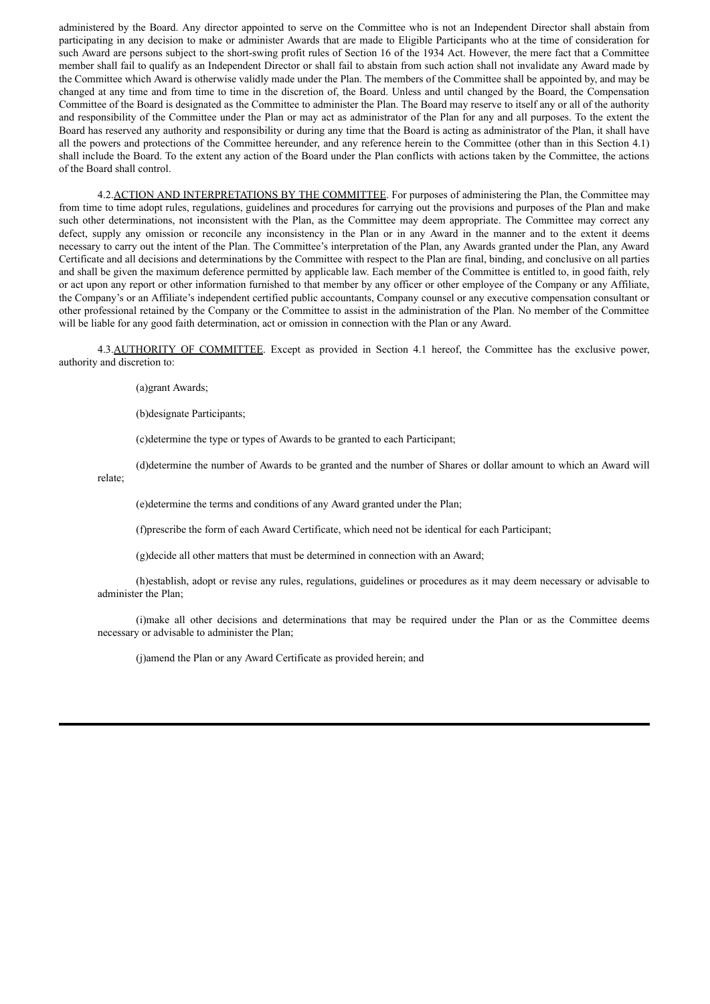administered by the Board. Any director appointed to serve on the Committee who is not an Independent Director shall abstain from participating in any decision to make or administer Awards that are made to Eligible Participants who at the time of consideration for such Award are persons subject to the short-swing profit rules of Section 16 of the 1934 Act. However, the mere fact that a Committee member shall fail to qualify as an Independent Director or shall fail to abstain from such action shall not invalidate any Award made by the Committee which Award is otherwise validly made under the Plan. The members of the Committee shall be appointed by, and may be changed at any time and from time to time in the discretion of, the Board. Unless and until changed by the Board, the Compensation Committee of the Board is designated as the Committee to administer the Plan. The Board may reserve to itself any or all of the authority and responsibility of the Committee under the Plan or may act as administrator of the Plan for any and all purposes. To the extent the Board has reserved any authority and responsibility or during any time that the Board is acting as administrator of the Plan, it shall have all the powers and protections of the Committee hereunder, and any reference herein to the Committee (other than in this Section 4.1) shall include the Board. To the extent any action of the Board under the Plan conflicts with actions taken by the Committee, the actions of the Board shall control.

4.2.ACTION AND INTERPRETATIONS BY THE COMMITTEE. For purposes of administering the Plan, the Committee may from time to time adopt rules, regulations, guidelines and procedures for carrying out the provisions and purposes of the Plan and make such other determinations, not inconsistent with the Plan, as the Committee may deem appropriate. The Committee may correct any defect, supply any omission or reconcile any inconsistency in the Plan or in any Award in the manner and to the extent it deems necessary to carry out the intent of the Plan. The Committee's interpretation of the Plan, any Awards granted under the Plan, any Award Certificate and all decisions and determinations by the Committee with respect to the Plan are final, binding, and conclusive on all parties and shall be given the maximum deference permitted by applicable law. Each member of the Committee is entitled to, in good faith, rely or act upon any report or other information furnished to that member by any officer or other employee of the Company or any Affiliate, the Company's or an Affiliate's independent certified public accountants, Company counsel or any executive compensation consultant or other professional retained by the Company or the Committee to assist in the administration of the Plan. No member of the Committee will be liable for any good faith determination, act or omission in connection with the Plan or any Award.

4.3.AUTHORITY OF COMMITTEE. Except as provided in Section 4.1 hereof, the Committee has the exclusive power, authority and discretion to:

(a)grant Awards;

(b)designate Participants;

(c)determine the type or types of Awards to be granted to each Participant;

(d)determine the number of Awards to be granted and the number of Shares or dollar amount to which an Award will relate;

(e)determine the terms and conditions of any Award granted under the Plan;

(f)prescribe the form of each Award Certificate, which need not be identical for each Participant;

(g)decide all other matters that must be determined in connection with an Award;

(h)establish, adopt or revise any rules, regulations, guidelines or procedures as it may deem necessary or advisable to administer the Plan;

(i)make all other decisions and determinations that may be required under the Plan or as the Committee deems necessary or advisable to administer the Plan;

(j)amend the Plan or any Award Certificate as provided herein; and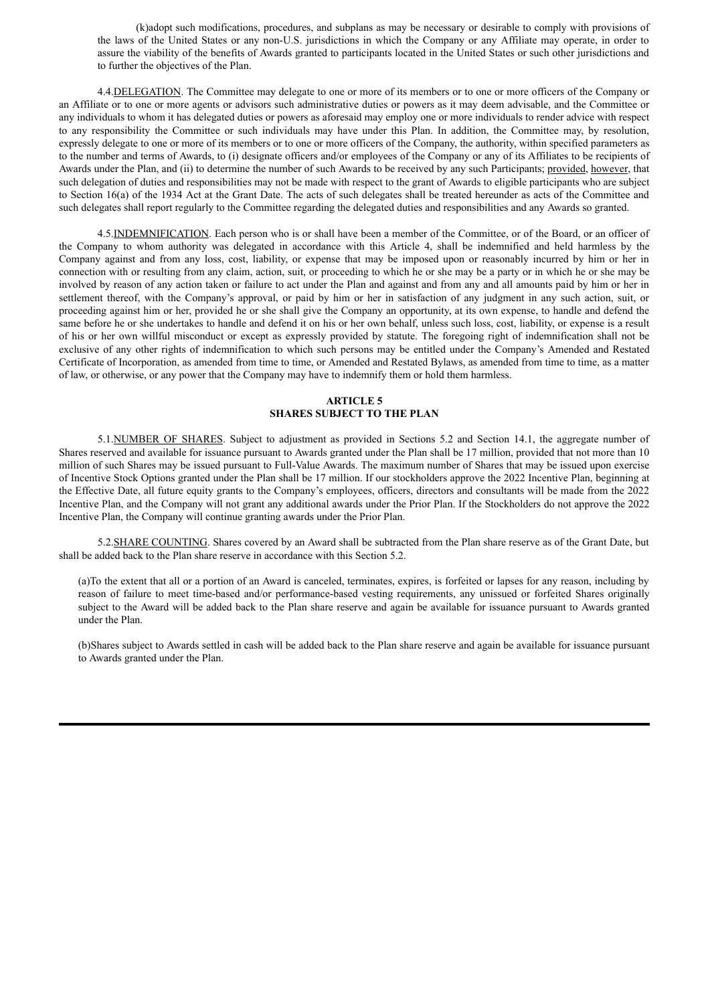(k)adopt such modifications, procedures, and subplans as may be necessary or desirable to comply with provisions of the laws of the United States or any non-U.S. jurisdictions in which the Company or any Affiliate may operate, in order to assure the viability of the benefits of Awards granted to participants located in the United States or such other jurisdictions and to further the objectives of the Plan.

4.4.DELEGATION. The Committee may delegate to one or more of its members or to one or more officers of the Company or an Affiliate or to one or more agents or advisors such administrative duties or powers as it may deem advisable, and the Committee or any individuals to whom it has delegated duties or powers as aforesaid may employ one or more individuals to render advice with respect to any responsibility the Committee or such individuals may have under this Plan. In addition, the Committee may, by resolution, expressly delegate to one or more of its members or to one or more officers of the Company, the authority, within specified parameters as to the number and terms of Awards, to (i) designate officers and/or employees of the Company or any of its Affiliates to be recipients of Awards under the Plan, and (ii) to determine the number of such Awards to be received by any such Participants; provided, however, that such delegation of duties and responsibilities may not be made with respect to the grant of Awards to eligible participants who are subject to Section 16(a) of the 1934 Act at the Grant Date. The acts of such delegates shall be treated hereunder as acts of the Committee and such delegates shall report regularly to the Committee regarding the delegated duties and responsibilities and any Awards so granted.

4.5.INDEMNIFICATION. Each person who is or shall have been a member of the Committee, or of the Board, or an officer of the Company to whom authority was delegated in accordance with this Article 4, shall be indemnified and held harmless by the Company against and from any loss, cost, liability, or expense that may be imposed upon or reasonably incurred by him or her in connection with or resulting from any claim, action, suit, or proceeding to which he or she may be a party or in which he or she may be involved by reason of any action taken or failure to act under the Plan and against and from any and all amounts paid by him or her in settlement thereof, with the Company's approval, or paid by him or her in satisfaction of any judgment in any such action, suit, or proceeding against him or her, provided he or she shall give the Company an opportunity, at its own expense, to handle and defend the same before he or she undertakes to handle and defend it on his or her own behalf, unless such loss, cost, liability, or expense is a result of his or her own willful misconduct or except as expressly provided by statute. The foregoing right of indemnification shall not be exclusive of any other rights of indemnification to which such persons may be entitled under the Company's Amended and Restated Certificate of Incorporation, as amended from time to time, or Amended and Restated Bylaws, as amended from time to time, as a matter of law, or otherwise, or any power that the Company may have to indemnify them or hold them harmless.

## **ARTICLE 5 SHARES SUBJECT TO THE PLAN**

5.1.NUMBER OF SHARES. Subject to adjustment as provided in Sections 5.2 and Section 14.1, the aggregate number of Shares reserved and available for issuance pursuant to Awards granted under the Plan shall be 17 million, provided that not more than 10 million of such Shares may be issued pursuant to Full-Value Awards. The maximum number of Shares that may be issued upon exercise of Incentive Stock Options granted under the Plan shall be 17 million. If our stockholders approve the 2022 Incentive Plan, beginning at the Effective Date, all future equity grants to the Company's employees, officers, directors and consultants will be made from the 2022 Incentive Plan, and the Company will not grant any additional awards under the Prior Plan. If the Stockholders do not approve the 2022 Incentive Plan, the Company will continue granting awards under the Prior Plan.

5.2.SHARE COUNTING. Shares covered by an Award shall be subtracted from the Plan share reserve as of the Grant Date, but shall be added back to the Plan share reserve in accordance with this Section 5.2.

(a)To the extent that all or a portion of an Award is canceled, terminates, expires, is forfeited or lapses for any reason, including by reason of failure to meet time-based and/or performance-based vesting requirements, any unissued or forfeited Shares originally subject to the Award will be added back to the Plan share reserve and again be available for issuance pursuant to Awards granted under the Plan.

(b)Shares subject to Awards settled in cash will be added back to the Plan share reserve and again be available for issuance pursuant to Awards granted under the Plan.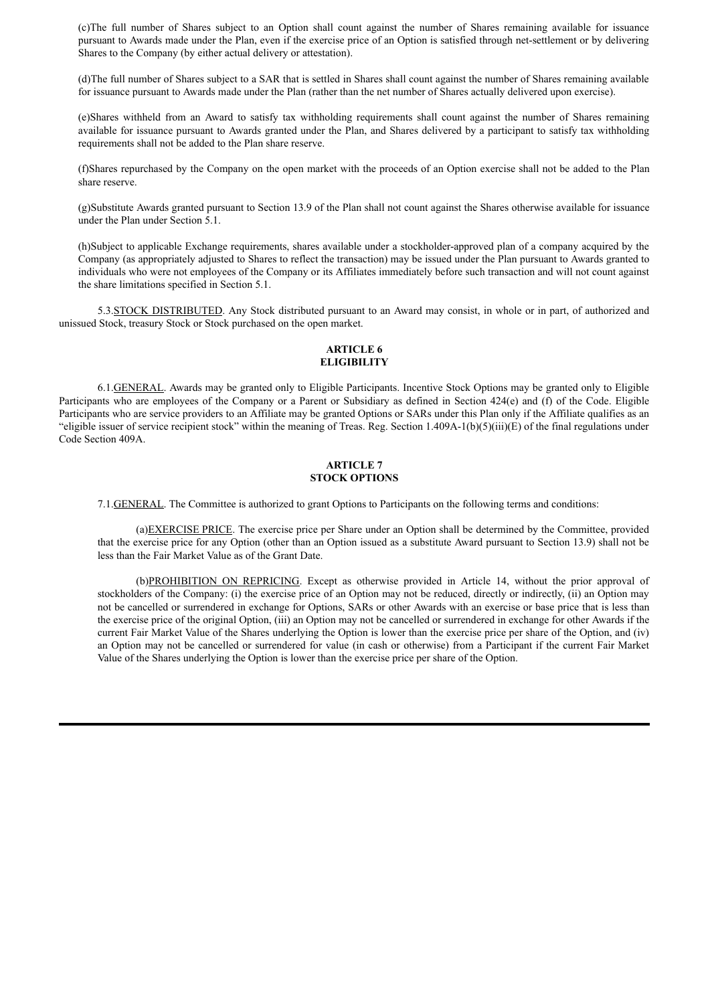(c)The full number of Shares subject to an Option shall count against the number of Shares remaining available for issuance pursuant to Awards made under the Plan, even if the exercise price of an Option is satisfied through net-settlement or by delivering Shares to the Company (by either actual delivery or attestation).

(d)The full number of Shares subject to a SAR that is settled in Shares shall count against the number of Shares remaining available for issuance pursuant to Awards made under the Plan (rather than the net number of Shares actually delivered upon exercise).

(e)Shares withheld from an Award to satisfy tax withholding requirements shall count against the number of Shares remaining available for issuance pursuant to Awards granted under the Plan, and Shares delivered by a participant to satisfy tax withholding requirements shall not be added to the Plan share reserve.

(f)Shares repurchased by the Company on the open market with the proceeds of an Option exercise shall not be added to the Plan share reserve.

(g)Substitute Awards granted pursuant to Section 13.9 of the Plan shall not count against the Shares otherwise available for issuance under the Plan under Section 5.1.

(h)Subject to applicable Exchange requirements, shares available under a stockholder-approved plan of a company acquired by the Company (as appropriately adjusted to Shares to reflect the transaction) may be issued under the Plan pursuant to Awards granted to individuals who were not employees of the Company or its Affiliates immediately before such transaction and will not count against the share limitations specified in Section 5.1.

5.3.STOCK DISTRIBUTED. Any Stock distributed pursuant to an Award may consist, in whole or in part, of authorized and unissued Stock, treasury Stock or Stock purchased on the open market.

### **ARTICLE 6 ELIGIBILITY**

6.1.GENERAL. Awards may be granted only to Eligible Participants. Incentive Stock Options may be granted only to Eligible Participants who are employees of the Company or a Parent or Subsidiary as defined in Section 424(e) and (f) of the Code. Eligible Participants who are service providers to an Affiliate may be granted Options or SARs under this Plan only if the Affiliate qualifies as an "eligible issuer of service recipient stock" within the meaning of Treas. Reg. Section  $1.409A-1(b)(5)(iii)(E)$  of the final regulations under Code Section 409A.

## **ARTICLE 7 STOCK OPTIONS**

7.1.GENERAL. The Committee is authorized to grant Options to Participants on the following terms and conditions:

(a)EXERCISE PRICE. The exercise price per Share under an Option shall be determined by the Committee, provided that the exercise price for any Option (other than an Option issued as a substitute Award pursuant to Section 13.9) shall not be less than the Fair Market Value as of the Grant Date.

(b)PROHIBITION ON REPRICING. Except as otherwise provided in Article 14, without the prior approval of stockholders of the Company: (i) the exercise price of an Option may not be reduced, directly or indirectly, (ii) an Option may not be cancelled or surrendered in exchange for Options, SARs or other Awards with an exercise or base price that is less than the exercise price of the original Option, (iii) an Option may not be cancelled or surrendered in exchange for other Awards if the current Fair Market Value of the Shares underlying the Option is lower than the exercise price per share of the Option, and (iv) an Option may not be cancelled or surrendered for value (in cash or otherwise) from a Participant if the current Fair Market Value of the Shares underlying the Option is lower than the exercise price per share of the Option.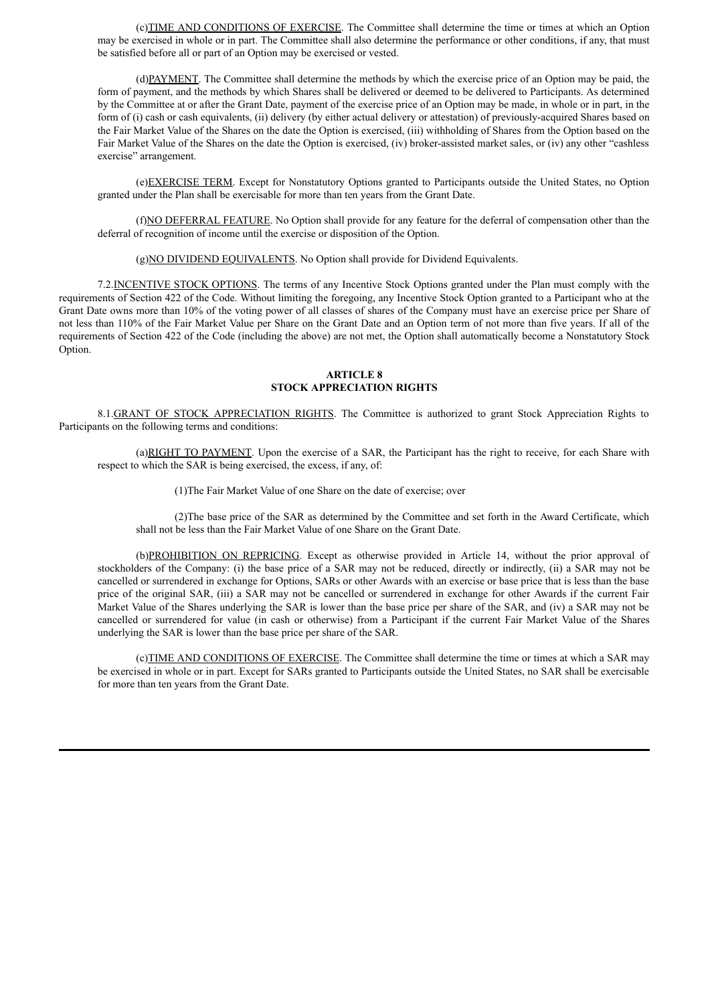(c)TIME AND CONDITIONS OF EXERCISE. The Committee shall determine the time or times at which an Option may be exercised in whole or in part. The Committee shall also determine the performance or other conditions, if any, that must be satisfied before all or part of an Option may be exercised or vested.

(d)PAYMENT. The Committee shall determine the methods by which the exercise price of an Option may be paid, the form of payment, and the methods by which Shares shall be delivered or deemed to be delivered to Participants. As determined by the Committee at or after the Grant Date, payment of the exercise price of an Option may be made, in whole or in part, in the form of (i) cash or cash equivalents, (ii) delivery (by either actual delivery or attestation) of previously-acquired Shares based on the Fair Market Value of the Shares on the date the Option is exercised, (iii) withholding of Shares from the Option based on the Fair Market Value of the Shares on the date the Option is exercised, (iv) broker-assisted market sales, or (iv) any other "cashless exercise" arrangement.

(e)EXERCISE TERM. Except for Nonstatutory Options granted to Participants outside the United States, no Option granted under the Plan shall be exercisable for more than ten years from the Grant Date.

(f)NO DEFERRAL FEATURE. No Option shall provide for any feature for the deferral of compensation other than the deferral of recognition of income until the exercise or disposition of the Option.

(g)NO DIVIDEND EQUIVALENTS. No Option shall provide for Dividend Equivalents.

7.2.INCENTIVE STOCK OPTIONS. The terms of any Incentive Stock Options granted under the Plan must comply with the requirements of Section 422 of the Code. Without limiting the foregoing, any Incentive Stock Option granted to a Participant who at the Grant Date owns more than 10% of the voting power of all classes of shares of the Company must have an exercise price per Share of not less than 110% of the Fair Market Value per Share on the Grant Date and an Option term of not more than five years. If all of the requirements of Section 422 of the Code (including the above) are not met, the Option shall automatically become a Nonstatutory Stock Option.

## **ARTICLE 8 STOCK APPRECIATION RIGHTS**

8.1.GRANT OF STOCK APPRECIATION RIGHTS. The Committee is authorized to grant Stock Appreciation Rights to Participants on the following terms and conditions:

(a)RIGHT TO PAYMENT. Upon the exercise of a SAR, the Participant has the right to receive, for each Share with respect to which the SAR is being exercised, the excess, if any, of:

(1)The Fair Market Value of one Share on the date of exercise; over

(2)The base price of the SAR as determined by the Committee and set forth in the Award Certificate, which shall not be less than the Fair Market Value of one Share on the Grant Date.

(b)PROHIBITION ON REPRICING. Except as otherwise provided in Article 14, without the prior approval of stockholders of the Company: (i) the base price of a SAR may not be reduced, directly or indirectly, (ii) a SAR may not be cancelled or surrendered in exchange for Options, SARs or other Awards with an exercise or base price that is less than the base price of the original SAR, (iii) a SAR may not be cancelled or surrendered in exchange for other Awards if the current Fair Market Value of the Shares underlying the SAR is lower than the base price per share of the SAR, and (iv) a SAR may not be cancelled or surrendered for value (in cash or otherwise) from a Participant if the current Fair Market Value of the Shares underlying the SAR is lower than the base price per share of the SAR.

(c)TIME AND CONDITIONS OF EXERCISE. The Committee shall determine the time or times at which a SAR may be exercised in whole or in part. Except for SARs granted to Participants outside the United States, no SAR shall be exercisable for more than ten years from the Grant Date.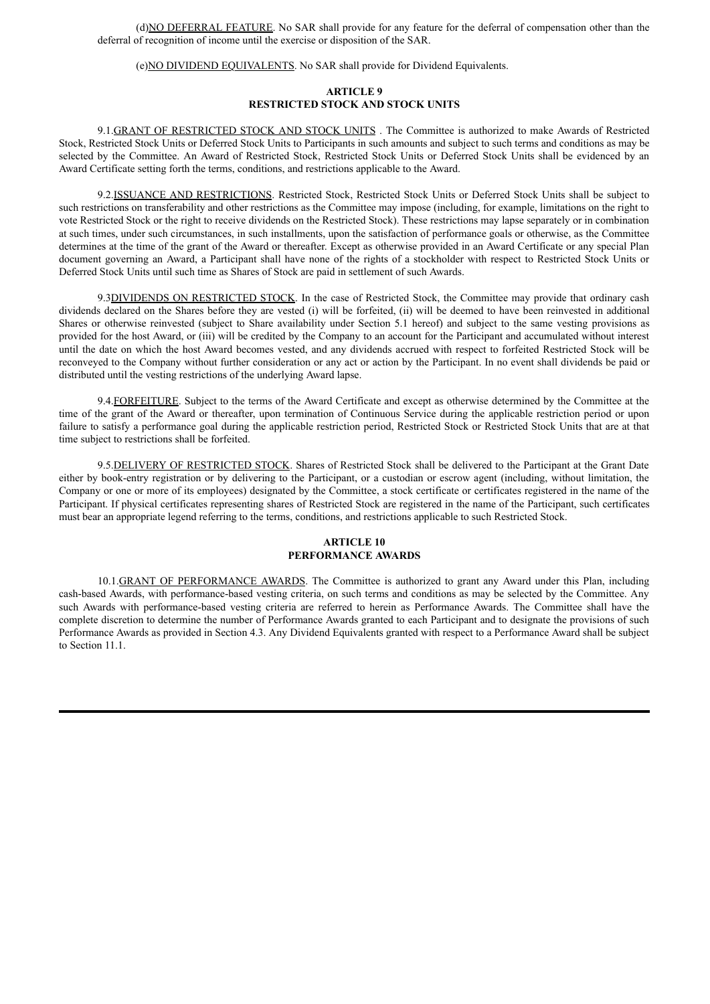(d)NO DEFERRAL FEATURE. No SAR shall provide for any feature for the deferral of compensation other than the deferral of recognition of income until the exercise or disposition of the SAR.

(e)NO DIVIDEND EQUIVALENTS. No SAR shall provide for Dividend Equivalents.

## **ARTICLE 9 RESTRICTED STOCK AND STOCK UNITS**

9.1.GRANT OF RESTRICTED STOCK AND STOCK UNITS . The Committee is authorized to make Awards of Restricted Stock, Restricted Stock Units or Deferred Stock Units to Participants in such amounts and subject to such terms and conditions as may be selected by the Committee. An Award of Restricted Stock, Restricted Stock Units or Deferred Stock Units shall be evidenced by an Award Certificate setting forth the terms, conditions, and restrictions applicable to the Award.

9.2.ISSUANCE AND RESTRICTIONS. Restricted Stock, Restricted Stock Units or Deferred Stock Units shall be subject to such restrictions on transferability and other restrictions as the Committee may impose (including, for example, limitations on the right to vote Restricted Stock or the right to receive dividends on the Restricted Stock). These restrictions may lapse separately or in combination at such times, under such circumstances, in such installments, upon the satisfaction of performance goals or otherwise, as the Committee determines at the time of the grant of the Award or thereafter. Except as otherwise provided in an Award Certificate or any special Plan document governing an Award, a Participant shall have none of the rights of a stockholder with respect to Restricted Stock Units or Deferred Stock Units until such time as Shares of Stock are paid in settlement of such Awards.

9.3DIVIDENDS ON RESTRICTED STOCK. In the case of Restricted Stock, the Committee may provide that ordinary cash dividends declared on the Shares before they are vested (i) will be forfeited, (ii) will be deemed to have been reinvested in additional Shares or otherwise reinvested (subject to Share availability under Section 5.1 hereof) and subject to the same vesting provisions as provided for the host Award, or (iii) will be credited by the Company to an account for the Participant and accumulated without interest until the date on which the host Award becomes vested, and any dividends accrued with respect to forfeited Restricted Stock will be reconveyed to the Company without further consideration or any act or action by the Participant. In no event shall dividends be paid or distributed until the vesting restrictions of the underlying Award lapse.

9.4.FORFEITURE. Subject to the terms of the Award Certificate and except as otherwise determined by the Committee at the time of the grant of the Award or thereafter, upon termination of Continuous Service during the applicable restriction period or upon failure to satisfy a performance goal during the applicable restriction period, Restricted Stock or Restricted Stock Units that are at that time subject to restrictions shall be forfeited.

9.5.DELIVERY OF RESTRICTED STOCK. Shares of Restricted Stock shall be delivered to the Participant at the Grant Date either by book-entry registration or by delivering to the Participant, or a custodian or escrow agent (including, without limitation, the Company or one or more of its employees) designated by the Committee, a stock certificate or certificates registered in the name of the Participant. If physical certificates representing shares of Restricted Stock are registered in the name of the Participant, such certificates must bear an appropriate legend referring to the terms, conditions, and restrictions applicable to such Restricted Stock.

### **ARTICLE 10 PERFORMANCE AWARDS**

10.1.GRANT OF PERFORMANCE AWARDS. The Committee is authorized to grant any Award under this Plan, including cash-based Awards, with performance-based vesting criteria, on such terms and conditions as may be selected by the Committee. Any such Awards with performance-based vesting criteria are referred to herein as Performance Awards. The Committee shall have the complete discretion to determine the number of Performance Awards granted to each Participant and to designate the provisions of such Performance Awards as provided in Section 4.3. Any Dividend Equivalents granted with respect to a Performance Award shall be subject to Section 11.1.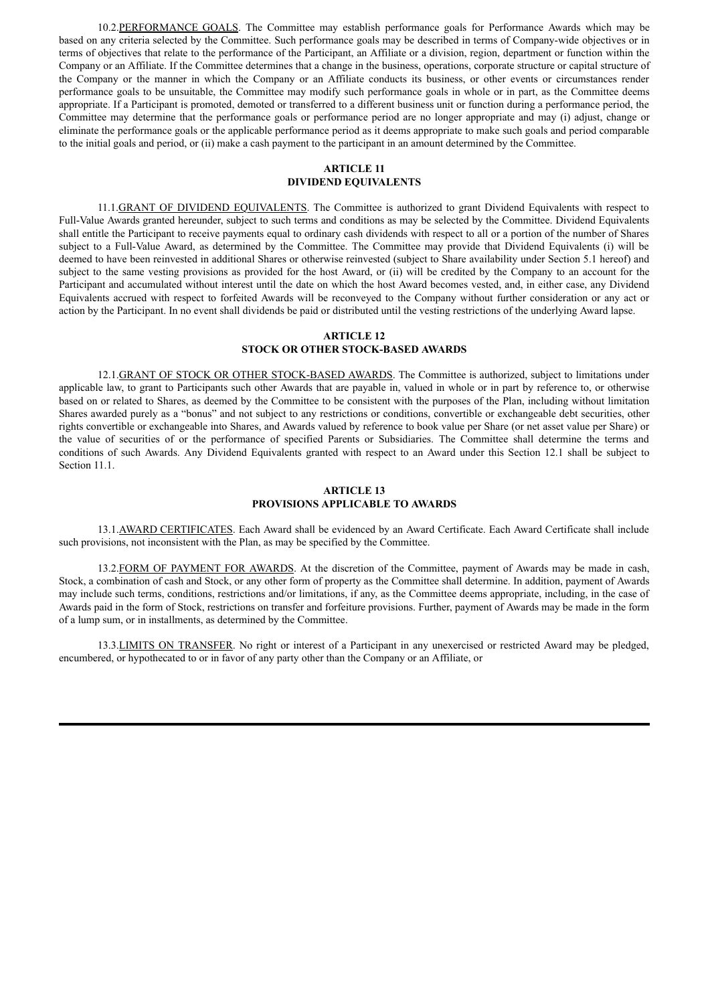10.2.PERFORMANCE GOALS. The Committee may establish performance goals for Performance Awards which may be based on any criteria selected by the Committee. Such performance goals may be described in terms of Company-wide objectives or in terms of objectives that relate to the performance of the Participant, an Affiliate or a division, region, department or function within the Company or an Affiliate. If the Committee determines that a change in the business, operations, corporate structure or capital structure of the Company or the manner in which the Company or an Affiliate conducts its business, or other events or circumstances render performance goals to be unsuitable, the Committee may modify such performance goals in whole or in part, as the Committee deems appropriate. If a Participant is promoted, demoted or transferred to a different business unit or function during a performance period, the Committee may determine that the performance goals or performance period are no longer appropriate and may (i) adjust, change or eliminate the performance goals or the applicable performance period as it deems appropriate to make such goals and period comparable to the initial goals and period, or (ii) make a cash payment to the participant in an amount determined by the Committee.

## **ARTICLE 11 DIVIDEND EQUIVALENTS**

11.1.GRANT OF DIVIDEND EQUIVALENTS. The Committee is authorized to grant Dividend Equivalents with respect to Full-Value Awards granted hereunder, subject to such terms and conditions as may be selected by the Committee. Dividend Equivalents shall entitle the Participant to receive payments equal to ordinary cash dividends with respect to all or a portion of the number of Shares subject to a Full-Value Award, as determined by the Committee. The Committee may provide that Dividend Equivalents (i) will be deemed to have been reinvested in additional Shares or otherwise reinvested (subject to Share availability under Section 5.1 hereof) and subject to the same vesting provisions as provided for the host Award, or (ii) will be credited by the Company to an account for the Participant and accumulated without interest until the date on which the host Award becomes vested, and, in either case, any Dividend Equivalents accrued with respect to forfeited Awards will be reconveyed to the Company without further consideration or any act or action by the Participant. In no event shall dividends be paid or distributed until the vesting restrictions of the underlying Award lapse.

### **ARTICLE 12 STOCK OR OTHER STOCK-BASED AWARDS**

12.1.GRANT OF STOCK OR OTHER STOCK-BASED AWARDS. The Committee is authorized, subject to limitations under applicable law, to grant to Participants such other Awards that are payable in, valued in whole or in part by reference to, or otherwise based on or related to Shares, as deemed by the Committee to be consistent with the purposes of the Plan, including without limitation Shares awarded purely as a "bonus" and not subject to any restrictions or conditions, convertible or exchangeable debt securities, other rights convertible or exchangeable into Shares, and Awards valued by reference to book value per Share (or net asset value per Share) or the value of securities of or the performance of specified Parents or Subsidiaries. The Committee shall determine the terms and conditions of such Awards. Any Dividend Equivalents granted with respect to an Award under this Section 12.1 shall be subject to Section 11.1.

### **ARTICLE 13 PROVISIONS APPLICABLE TO AWARDS**

13.1.AWARD CERTIFICATES. Each Award shall be evidenced by an Award Certificate. Each Award Certificate shall include such provisions, not inconsistent with the Plan, as may be specified by the Committee.

13.2.FORM OF PAYMENT FOR AWARDS. At the discretion of the Committee, payment of Awards may be made in cash, Stock, a combination of cash and Stock, or any other form of property as the Committee shall determine. In addition, payment of Awards may include such terms, conditions, restrictions and/or limitations, if any, as the Committee deems appropriate, including, in the case of Awards paid in the form of Stock, restrictions on transfer and forfeiture provisions. Further, payment of Awards may be made in the form of a lump sum, or in installments, as determined by the Committee.

13.3.LIMITS ON TRANSFER. No right or interest of a Participant in any unexercised or restricted Award may be pledged, encumbered, or hypothecated to or in favor of any party other than the Company or an Affiliate, or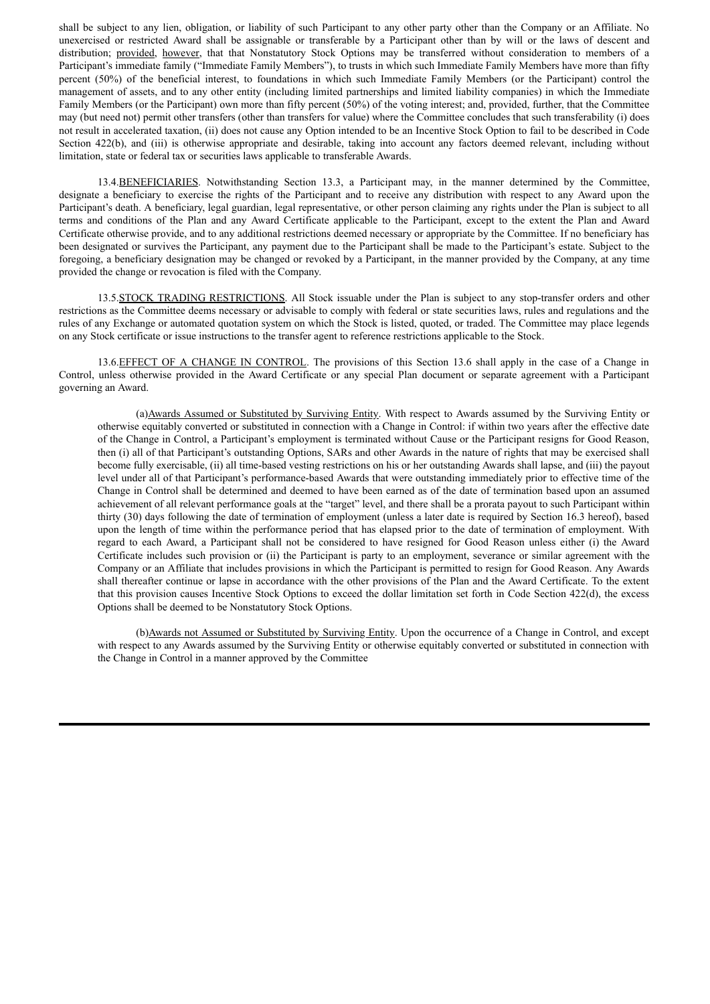shall be subject to any lien, obligation, or liability of such Participant to any other party other than the Company or an Affiliate. No unexercised or restricted Award shall be assignable or transferable by a Participant other than by will or the laws of descent and distribution; provided, however, that that Nonstatutory Stock Options may be transferred without consideration to members of a Participant's immediate family ("Immediate Family Members"), to trusts in which such Immediate Family Members have more than fifty percent (50%) of the beneficial interest, to foundations in which such Immediate Family Members (or the Participant) control the management of assets, and to any other entity (including limited partnerships and limited liability companies) in which the Immediate Family Members (or the Participant) own more than fifty percent (50%) of the voting interest; and, provided, further, that the Committee may (but need not) permit other transfers (other than transfers for value) where the Committee concludes that such transferability (i) does not result in accelerated taxation, (ii) does not cause any Option intended to be an Incentive Stock Option to fail to be described in Code Section 422(b), and (iii) is otherwise appropriate and desirable, taking into account any factors deemed relevant, including without limitation, state or federal tax or securities laws applicable to transferable Awards.

13.4.BENEFICIARIES. Notwithstanding Section 13.3, a Participant may, in the manner determined by the Committee, designate a beneficiary to exercise the rights of the Participant and to receive any distribution with respect to any Award upon the Participant's death. A beneficiary, legal guardian, legal representative, or other person claiming any rights under the Plan is subject to all terms and conditions of the Plan and any Award Certificate applicable to the Participant, except to the extent the Plan and Award Certificate otherwise provide, and to any additional restrictions deemed necessary or appropriate by the Committee. If no beneficiary has been designated or survives the Participant, any payment due to the Participant shall be made to the Participant's estate. Subject to the foregoing, a beneficiary designation may be changed or revoked by a Participant, in the manner provided by the Company, at any time provided the change or revocation is filed with the Company.

13.5.STOCK TRADING RESTRICTIONS. All Stock issuable under the Plan is subject to any stop-transfer orders and other restrictions as the Committee deems necessary or advisable to comply with federal or state securities laws, rules and regulations and the rules of any Exchange or automated quotation system on which the Stock is listed, quoted, or traded. The Committee may place legends on any Stock certificate or issue instructions to the transfer agent to reference restrictions applicable to the Stock.

13.6.EFFECT OF A CHANGE IN CONTROL. The provisions of this Section 13.6 shall apply in the case of a Change in Control, unless otherwise provided in the Award Certificate or any special Plan document or separate agreement with a Participant governing an Award.

(a)Awards Assumed or Substituted by Surviving Entity. With respect to Awards assumed by the Surviving Entity or otherwise equitably converted or substituted in connection with a Change in Control: if within two years after the effective date of the Change in Control, a Participant's employment is terminated without Cause or the Participant resigns for Good Reason, then (i) all of that Participant's outstanding Options, SARs and other Awards in the nature of rights that may be exercised shall become fully exercisable, (ii) all time-based vesting restrictions on his or her outstanding Awards shall lapse, and (iii) the payout level under all of that Participant's performance-based Awards that were outstanding immediately prior to effective time of the Change in Control shall be determined and deemed to have been earned as of the date of termination based upon an assumed achievement of all relevant performance goals at the "target" level, and there shall be a prorata payout to such Participant within thirty (30) days following the date of termination of employment (unless a later date is required by Section 16.3 hereof), based upon the length of time within the performance period that has elapsed prior to the date of termination of employment. With regard to each Award, a Participant shall not be considered to have resigned for Good Reason unless either (i) the Award Certificate includes such provision or (ii) the Participant is party to an employment, severance or similar agreement with the Company or an Affiliate that includes provisions in which the Participant is permitted to resign for Good Reason. Any Awards shall thereafter continue or lapse in accordance with the other provisions of the Plan and the Award Certificate. To the extent that this provision causes Incentive Stock Options to exceed the dollar limitation set forth in Code Section 422(d), the excess Options shall be deemed to be Nonstatutory Stock Options.

(b)Awards not Assumed or Substituted by Surviving Entity. Upon the occurrence of a Change in Control, and except with respect to any Awards assumed by the Surviving Entity or otherwise equitably converted or substituted in connection with the Change in Control in a manner approved by the Committee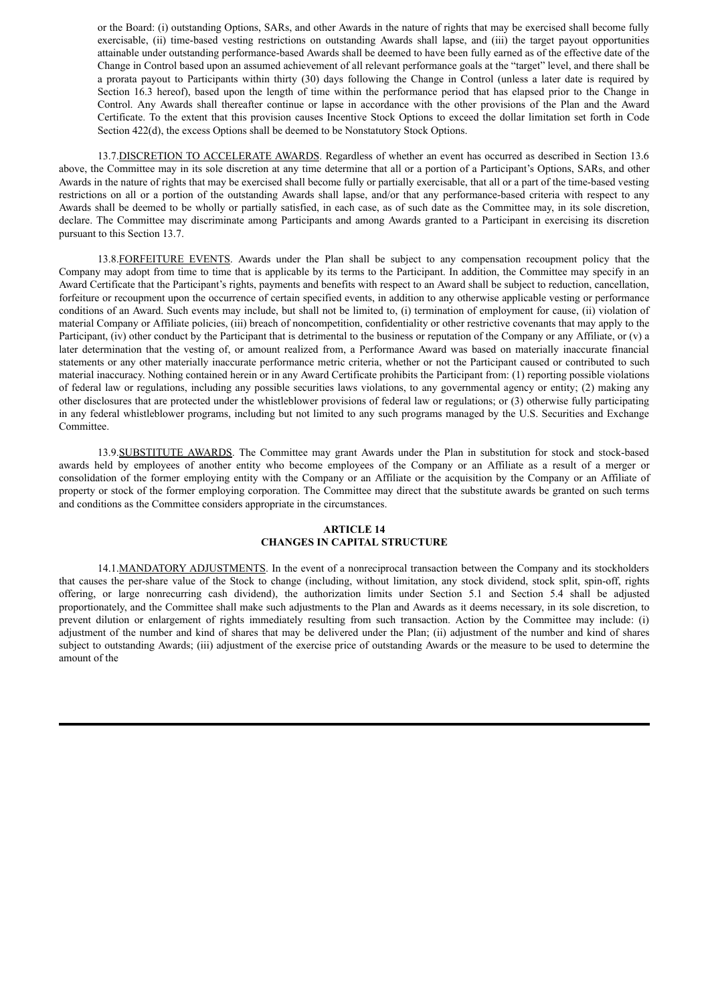or the Board: (i) outstanding Options, SARs, and other Awards in the nature of rights that may be exercised shall become fully exercisable, (ii) time-based vesting restrictions on outstanding Awards shall lapse, and (iii) the target payout opportunities attainable under outstanding performance-based Awards shall be deemed to have been fully earned as of the effective date of the Change in Control based upon an assumed achievement of all relevant performance goals at the "target" level, and there shall be a prorata payout to Participants within thirty (30) days following the Change in Control (unless a later date is required by Section 16.3 hereof), based upon the length of time within the performance period that has elapsed prior to the Change in Control. Any Awards shall thereafter continue or lapse in accordance with the other provisions of the Plan and the Award Certificate. To the extent that this provision causes Incentive Stock Options to exceed the dollar limitation set forth in Code Section 422(d), the excess Options shall be deemed to be Nonstatutory Stock Options.

13.7.DISCRETION TO ACCELERATE AWARDS. Regardless of whether an event has occurred as described in Section 13.6 above, the Committee may in its sole discretion at any time determine that all or a portion of a Participant's Options, SARs, and other Awards in the nature of rights that may be exercised shall become fully or partially exercisable, that all or a part of the time-based vesting restrictions on all or a portion of the outstanding Awards shall lapse, and/or that any performance-based criteria with respect to any Awards shall be deemed to be wholly or partially satisfied, in each case, as of such date as the Committee may, in its sole discretion, declare. The Committee may discriminate among Participants and among Awards granted to a Participant in exercising its discretion pursuant to this Section 13.7.

13.8.FORFEITURE EVENTS. Awards under the Plan shall be subject to any compensation recoupment policy that the Company may adopt from time to time that is applicable by its terms to the Participant. In addition, the Committee may specify in an Award Certificate that the Participant's rights, payments and benefits with respect to an Award shall be subject to reduction, cancellation, forfeiture or recoupment upon the occurrence of certain specified events, in addition to any otherwise applicable vesting or performance conditions of an Award. Such events may include, but shall not be limited to, (i) termination of employment for cause, (ii) violation of material Company or Affiliate policies, (iii) breach of noncompetition, confidentiality or other restrictive covenants that may apply to the Participant, (iv) other conduct by the Participant that is detrimental to the business or reputation of the Company or any Affiliate, or (v) a later determination that the vesting of, or amount realized from, a Performance Award was based on materially inaccurate financial statements or any other materially inaccurate performance metric criteria, whether or not the Participant caused or contributed to such material inaccuracy. Nothing contained herein or in any Award Certificate prohibits the Participant from: (1) reporting possible violations of federal law or regulations, including any possible securities laws violations, to any governmental agency or entity; (2) making any other disclosures that are protected under the whistleblower provisions of federal law or regulations; or (3) otherwise fully participating in any federal whistleblower programs, including but not limited to any such programs managed by the U.S. Securities and Exchange Committee.

13.9.SUBSTITUTE AWARDS. The Committee may grant Awards under the Plan in substitution for stock and stock-based awards held by employees of another entity who become employees of the Company or an Affiliate as a result of a merger or consolidation of the former employing entity with the Company or an Affiliate or the acquisition by the Company or an Affiliate of property or stock of the former employing corporation. The Committee may direct that the substitute awards be granted on such terms and conditions as the Committee considers appropriate in the circumstances.

## **ARTICLE 14 CHANGES IN CAPITAL STRUCTURE**

14.1.MANDATORY ADJUSTMENTS. In the event of a nonreciprocal transaction between the Company and its stockholders that causes the per-share value of the Stock to change (including, without limitation, any stock dividend, stock split, spin-off, rights offering, or large nonrecurring cash dividend), the authorization limits under Section 5.1 and Section 5.4 shall be adjusted proportionately, and the Committee shall make such adjustments to the Plan and Awards as it deems necessary, in its sole discretion, to prevent dilution or enlargement of rights immediately resulting from such transaction. Action by the Committee may include: (i) adjustment of the number and kind of shares that may be delivered under the Plan; (ii) adjustment of the number and kind of shares subject to outstanding Awards; (iii) adjustment of the exercise price of outstanding Awards or the measure to be used to determine the amount of the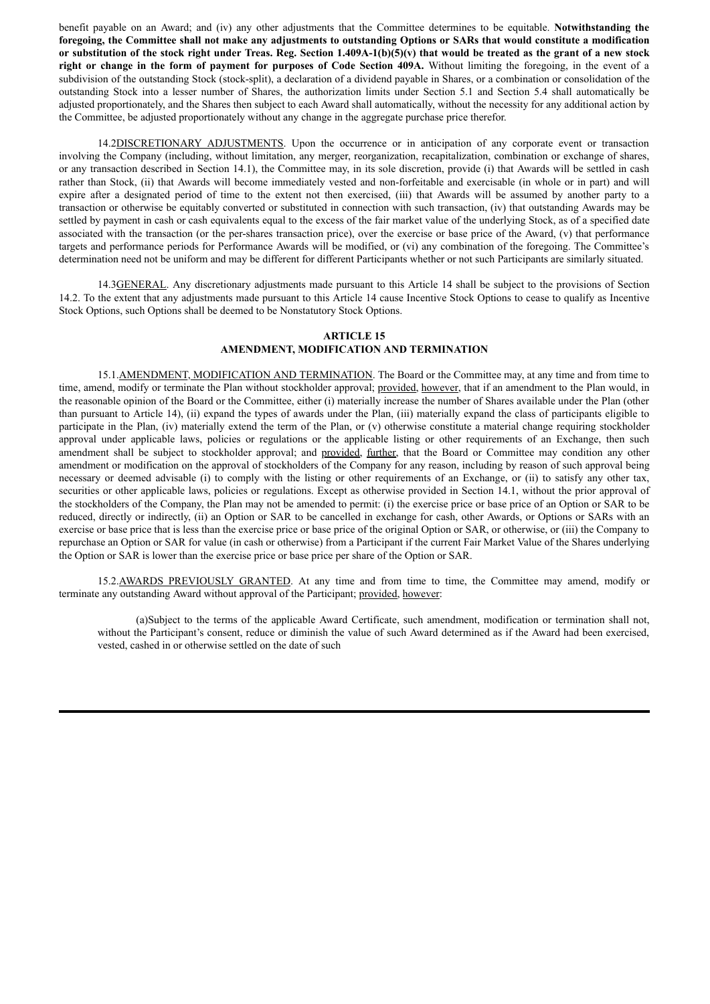benefit payable on an Award; and (iv) any other adjustments that the Committee determines to be equitable. **Notwithstanding the** foregoing, the Committee shall not make any adjustments to outstanding Options or SARs that would constitute a modification or substitution of the stock right under Treas. Reg. Section  $1.409A-1(b)(5)(v)$  that would be treated as the grant of a new stock **right or change in the form of payment for purposes of Code Section 409A.** Without limiting the foregoing, in the event of a subdivision of the outstanding Stock (stock-split), a declaration of a dividend payable in Shares, or a combination or consolidation of the outstanding Stock into a lesser number of Shares, the authorization limits under Section 5.1 and Section 5.4 shall automatically be adjusted proportionately, and the Shares then subject to each Award shall automatically, without the necessity for any additional action by the Committee, be adjusted proportionately without any change in the aggregate purchase price therefor.

14.2DISCRETIONARY ADJUSTMENTS. Upon the occurrence or in anticipation of any corporate event or transaction involving the Company (including, without limitation, any merger, reorganization, recapitalization, combination or exchange of shares, or any transaction described in Section 14.1), the Committee may, in its sole discretion, provide (i) that Awards will be settled in cash rather than Stock, (ii) that Awards will become immediately vested and non-forfeitable and exercisable (in whole or in part) and will expire after a designated period of time to the extent not then exercised, (iii) that Awards will be assumed by another party to a transaction or otherwise be equitably converted or substituted in connection with such transaction, (iv) that outstanding Awards may be settled by payment in cash or cash equivalents equal to the excess of the fair market value of the underlying Stock, as of a specified date associated with the transaction (or the per-shares transaction price), over the exercise or base price of the Award, (v) that performance targets and performance periods for Performance Awards will be modified, or (vi) any combination of the foregoing. The Committee's determination need not be uniform and may be different for different Participants whether or not such Participants are similarly situated.

14.3GENERAL. Any discretionary adjustments made pursuant to this Article 14 shall be subject to the provisions of Section 14.2. To the extent that any adjustments made pursuant to this Article 14 cause Incentive Stock Options to cease to qualify as Incentive Stock Options, such Options shall be deemed to be Nonstatutory Stock Options.

## **ARTICLE 15 AMENDMENT, MODIFICATION AND TERMINATION**

15.1.AMENDMENT, MODIFICATION AND TERMINATION. The Board or the Committee may, at any time and from time to time, amend, modify or terminate the Plan without stockholder approval; provided, however, that if an amendment to the Plan would, in the reasonable opinion of the Board or the Committee, either (i) materially increase the number of Shares available under the Plan (other than pursuant to Article 14), (ii) expand the types of awards under the Plan, (iii) materially expand the class of participants eligible to participate in the Plan, (iv) materially extend the term of the Plan, or (v) otherwise constitute a material change requiring stockholder approval under applicable laws, policies or regulations or the applicable listing or other requirements of an Exchange, then such amendment shall be subject to stockholder approval; and provided, further, that the Board or Committee may condition any other amendment or modification on the approval of stockholders of the Company for any reason, including by reason of such approval being necessary or deemed advisable (i) to comply with the listing or other requirements of an Exchange, or (ii) to satisfy any other tax, securities or other applicable laws, policies or regulations. Except as otherwise provided in Section 14.1, without the prior approval of the stockholders of the Company, the Plan may not be amended to permit: (i) the exercise price or base price of an Option or SAR to be reduced, directly or indirectly, (ii) an Option or SAR to be cancelled in exchange for cash, other Awards, or Options or SARs with an exercise or base price that is less than the exercise price or base price of the original Option or SAR, or otherwise, or (iii) the Company to repurchase an Option or SAR for value (in cash or otherwise) from a Participant if the current Fair Market Value of the Shares underlying the Option or SAR is lower than the exercise price or base price per share of the Option or SAR.

15.2.AWARDS PREVIOUSLY GRANTED. At any time and from time to time, the Committee may amend, modify or terminate any outstanding Award without approval of the Participant; provided, however:

(a)Subject to the terms of the applicable Award Certificate, such amendment, modification or termination shall not, without the Participant's consent, reduce or diminish the value of such Award determined as if the Award had been exercised, vested, cashed in or otherwise settled on the date of such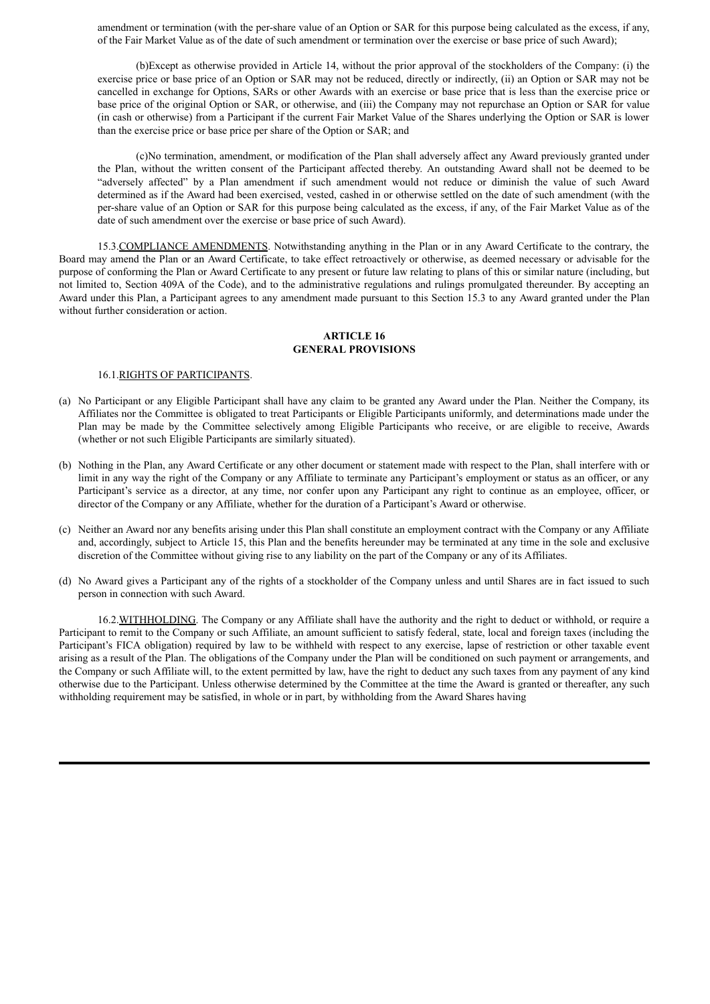amendment or termination (with the per-share value of an Option or SAR for this purpose being calculated as the excess, if any, of the Fair Market Value as of the date of such amendment or termination over the exercise or base price of such Award);

(b)Except as otherwise provided in Article 14, without the prior approval of the stockholders of the Company: (i) the exercise price or base price of an Option or SAR may not be reduced, directly or indirectly, (ii) an Option or SAR may not be cancelled in exchange for Options, SARs or other Awards with an exercise or base price that is less than the exercise price or base price of the original Option or SAR, or otherwise, and (iii) the Company may not repurchase an Option or SAR for value (in cash or otherwise) from a Participant if the current Fair Market Value of the Shares underlying the Option or SAR is lower than the exercise price or base price per share of the Option or SAR; and

(c)No termination, amendment, or modification of the Plan shall adversely affect any Award previously granted under the Plan, without the written consent of the Participant affected thereby. An outstanding Award shall not be deemed to be "adversely affected" by a Plan amendment if such amendment would not reduce or diminish the value of such Award determined as if the Award had been exercised, vested, cashed in or otherwise settled on the date of such amendment (with the per-share value of an Option or SAR for this purpose being calculated as the excess, if any, of the Fair Market Value as of the date of such amendment over the exercise or base price of such Award).

15.3.COMPLIANCE AMENDMENTS. Notwithstanding anything in the Plan or in any Award Certificate to the contrary, the Board may amend the Plan or an Award Certificate, to take effect retroactively or otherwise, as deemed necessary or advisable for the purpose of conforming the Plan or Award Certificate to any present or future law relating to plans of this or similar nature (including, but not limited to, Section 409A of the Code), and to the administrative regulations and rulings promulgated thereunder. By accepting an Award under this Plan, a Participant agrees to any amendment made pursuant to this Section 15.3 to any Award granted under the Plan without further consideration or action.

## **ARTICLE 16 GENERAL PROVISIONS**

#### 16.1.RIGHTS OF PARTICIPANTS.

- (a) No Participant or any Eligible Participant shall have any claim to be granted any Award under the Plan. Neither the Company, its Affiliates nor the Committee is obligated to treat Participants or Eligible Participants uniformly, and determinations made under the Plan may be made by the Committee selectively among Eligible Participants who receive, or are eligible to receive, Awards (whether or not such Eligible Participants are similarly situated).
- (b) Nothing in the Plan, any Award Certificate or any other document or statement made with respect to the Plan, shall interfere with or limit in any way the right of the Company or any Affiliate to terminate any Participant's employment or status as an officer, or any Participant's service as a director, at any time, nor confer upon any Participant any right to continue as an employee, officer, or director of the Company or any Affiliate, whether for the duration of a Participant's Award or otherwise.
- (c) Neither an Award nor any benefits arising under this Plan shall constitute an employment contract with the Company or any Affiliate and, accordingly, subject to Article 15, this Plan and the benefits hereunder may be terminated at any time in the sole and exclusive discretion of the Committee without giving rise to any liability on the part of the Company or any of its Affiliates.
- (d) No Award gives a Participant any of the rights of a stockholder of the Company unless and until Shares are in fact issued to such person in connection with such Award.

16.2.WITHHOLDING. The Company or any Affiliate shall have the authority and the right to deduct or withhold, or require a Participant to remit to the Company or such Affiliate, an amount sufficient to satisfy federal, state, local and foreign taxes (including the Participant's FICA obligation) required by law to be withheld with respect to any exercise, lapse of restriction or other taxable event arising as a result of the Plan. The obligations of the Company under the Plan will be conditioned on such payment or arrangements, and the Company or such Affiliate will, to the extent permitted by law, have the right to deduct any such taxes from any payment of any kind otherwise due to the Participant. Unless otherwise determined by the Committee at the time the Award is granted or thereafter, any such withholding requirement may be satisfied, in whole or in part, by withholding from the Award Shares having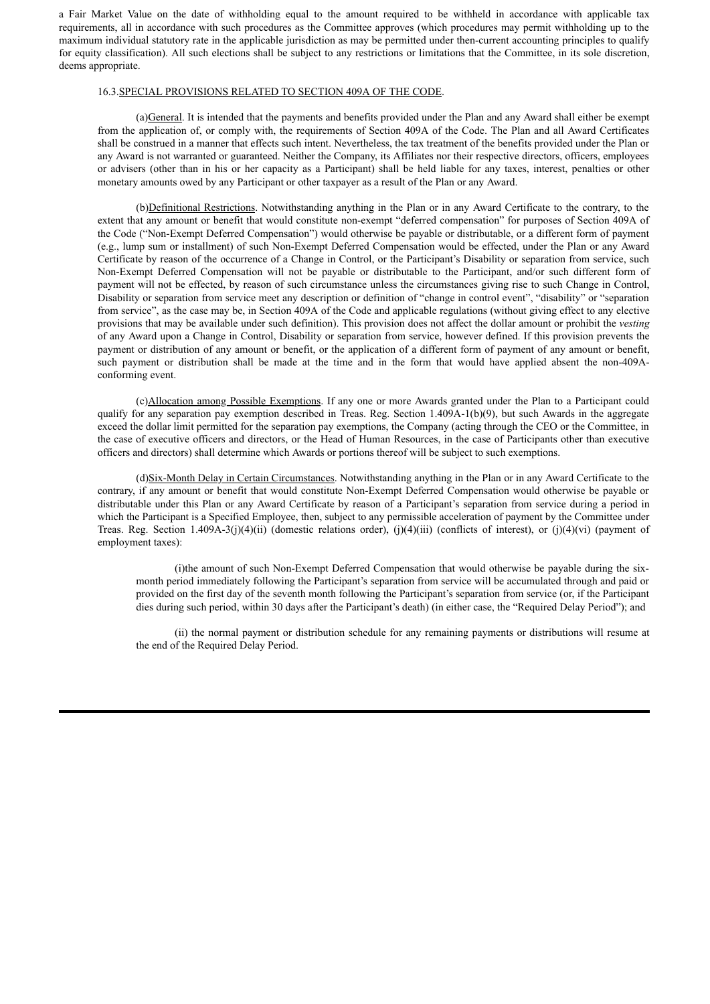a Fair Market Value on the date of withholding equal to the amount required to be withheld in accordance with applicable tax requirements, all in accordance with such procedures as the Committee approves (which procedures may permit withholding up to the maximum individual statutory rate in the applicable jurisdiction as may be permitted under then-current accounting principles to qualify for equity classification). All such elections shall be subject to any restrictions or limitations that the Committee, in its sole discretion, deems appropriate.

#### 16.3.SPECIAL PROVISIONS RELATED TO SECTION 409A OF THE CODE.

(a)General. It is intended that the payments and benefits provided under the Plan and any Award shall either be exempt from the application of, or comply with, the requirements of Section 409A of the Code. The Plan and all Award Certificates shall be construed in a manner that effects such intent. Nevertheless, the tax treatment of the benefits provided under the Plan or any Award is not warranted or guaranteed. Neither the Company, its Affiliates nor their respective directors, officers, employees or advisers (other than in his or her capacity as a Participant) shall be held liable for any taxes, interest, penalties or other monetary amounts owed by any Participant or other taxpayer as a result of the Plan or any Award.

(b)Definitional Restrictions. Notwithstanding anything in the Plan or in any Award Certificate to the contrary, to the extent that any amount or benefit that would constitute non-exempt "deferred compensation" for purposes of Section 409A of the Code ("Non-Exempt Deferred Compensation") would otherwise be payable or distributable, or a different form of payment (e.g., lump sum or installment) of such Non-Exempt Deferred Compensation would be effected, under the Plan or any Award Certificate by reason of the occurrence of a Change in Control, or the Participant's Disability or separation from service, such Non-Exempt Deferred Compensation will not be payable or distributable to the Participant, and/or such different form of payment will not be effected, by reason of such circumstance unless the circumstances giving rise to such Change in Control, Disability or separation from service meet any description or definition of "change in control event", "disability" or "separation from service", as the case may be, in Section 409A of the Code and applicable regulations (without giving effect to any elective provisions that may be available under such definition). This provision does not affect the dollar amount or prohibit the *vesting* of any Award upon a Change in Control, Disability or separation from service, however defined. If this provision prevents the payment or distribution of any amount or benefit, or the application of a different form of payment of any amount or benefit, such payment or distribution shall be made at the time and in the form that would have applied absent the non-409Aconforming event.

(c)Allocation among Possible Exemptions. If any one or more Awards granted under the Plan to a Participant could qualify for any separation pay exemption described in Treas. Reg. Section  $1.409A-1(b)(9)$ , but such Awards in the aggregate exceed the dollar limit permitted for the separation pay exemptions, the Company (acting through the CEO or the Committee, in the case of executive officers and directors, or the Head of Human Resources, in the case of Participants other than executive officers and directors) shall determine which Awards or portions thereof will be subject to such exemptions.

(d)Six-Month Delay in Certain Circumstances. Notwithstanding anything in the Plan or in any Award Certificate to the contrary, if any amount or benefit that would constitute Non-Exempt Deferred Compensation would otherwise be payable or distributable under this Plan or any Award Certificate by reason of a Participant's separation from service during a period in which the Participant is a Specified Employee, then, subject to any permissible acceleration of payment by the Committee under Treas. Reg. Section 1.409A-3(j)(4)(ii) (domestic relations order), (j)(4)(iii) (conflicts of interest), or (j)(4)(vi) (payment of employment taxes):

(i)the amount of such Non-Exempt Deferred Compensation that would otherwise be payable during the sixmonth period immediately following the Participant's separation from service will be accumulated through and paid or provided on the first day of the seventh month following the Participant's separation from service (or, if the Participant dies during such period, within 30 days after the Participant's death) (in either case, the "Required Delay Period"); and

(ii) the normal payment or distribution schedule for any remaining payments or distributions will resume at the end of the Required Delay Period.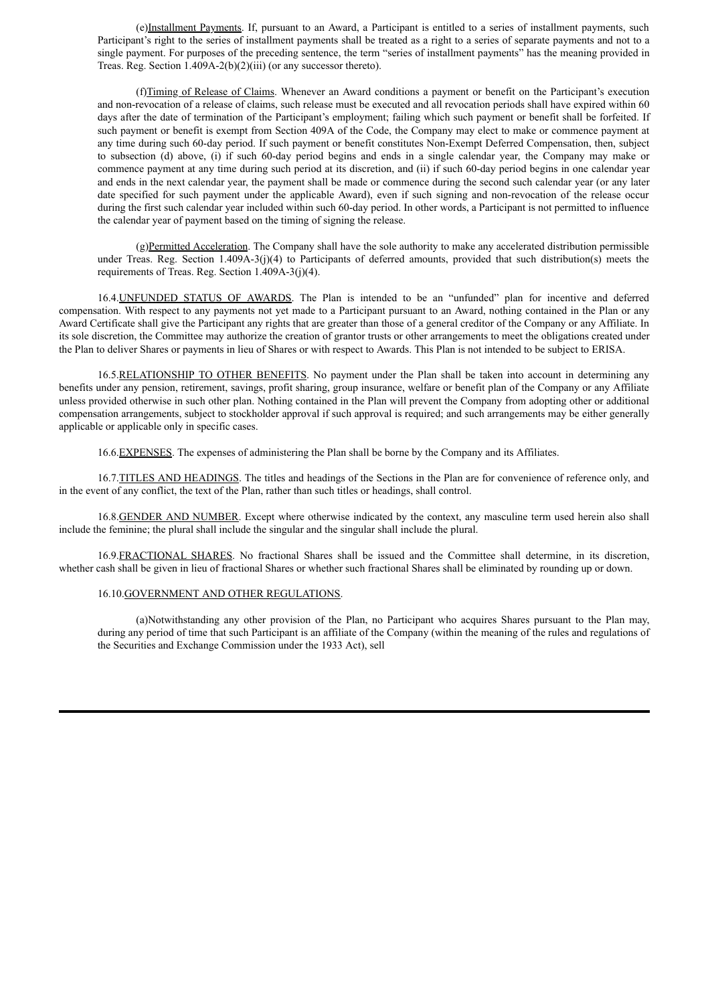(e)Installment Payments. If, pursuant to an Award, a Participant is entitled to a series of installment payments, such Participant's right to the series of installment payments shall be treated as a right to a series of separate payments and not to a single payment. For purposes of the preceding sentence, the term "series of installment payments" has the meaning provided in Treas. Reg. Section 1.409A-2(b)(2)(iii) (or any successor thereto).

(f)Timing of Release of Claims. Whenever an Award conditions a payment or benefit on the Participant's execution and non-revocation of a release of claims, such release must be executed and all revocation periods shall have expired within 60 days after the date of termination of the Participant's employment; failing which such payment or benefit shall be forfeited. If such payment or benefit is exempt from Section 409A of the Code, the Company may elect to make or commence payment at any time during such 60-day period. If such payment or benefit constitutes Non-Exempt Deferred Compensation, then, subject to subsection (d) above, (i) if such 60-day period begins and ends in a single calendar year, the Company may make or commence payment at any time during such period at its discretion, and (ii) if such 60-day period begins in one calendar year and ends in the next calendar year, the payment shall be made or commence during the second such calendar year (or any later date specified for such payment under the applicable Award), even if such signing and non-revocation of the release occur during the first such calendar year included within such 60-day period. In other words, a Participant is not permitted to influence the calendar year of payment based on the timing of signing the release.

(g)Permitted Acceleration. The Company shall have the sole authority to make any accelerated distribution permissible under Treas. Reg. Section 1.409A-3(j)(4) to Participants of deferred amounts, provided that such distribution(s) meets the requirements of Treas. Reg. Section 1.409A-3(j)(4).

16.4.UNFUNDED STATUS OF AWARDS. The Plan is intended to be an "unfunded" plan for incentive and deferred compensation. With respect to any payments not yet made to a Participant pursuant to an Award, nothing contained in the Plan or any Award Certificate shall give the Participant any rights that are greater than those of a general creditor of the Company or any Affiliate. In its sole discretion, the Committee may authorize the creation of grantor trusts or other arrangements to meet the obligations created under the Plan to deliver Shares or payments in lieu of Shares or with respect to Awards. This Plan is not intended to be subject to ERISA.

16.5.RELATIONSHIP TO OTHER BENEFITS. No payment under the Plan shall be taken into account in determining any benefits under any pension, retirement, savings, profit sharing, group insurance, welfare or benefit plan of the Company or any Affiliate unless provided otherwise in such other plan. Nothing contained in the Plan will prevent the Company from adopting other or additional compensation arrangements, subject to stockholder approval if such approval is required; and such arrangements may be either generally applicable or applicable only in specific cases.

16.6.EXPENSES. The expenses of administering the Plan shall be borne by the Company and its Affiliates.

16.7.TITLES AND HEADINGS. The titles and headings of the Sections in the Plan are for convenience of reference only, and in the event of any conflict, the text of the Plan, rather than such titles or headings, shall control.

16.8.GENDER AND NUMBER. Except where otherwise indicated by the context, any masculine term used herein also shall include the feminine; the plural shall include the singular and the singular shall include the plural.

16.9.FRACTIONAL SHARES. No fractional Shares shall be issued and the Committee shall determine, in its discretion, whether cash shall be given in lieu of fractional Shares or whether such fractional Shares shall be eliminated by rounding up or down.

### 16.10.GOVERNMENT AND OTHER REGULATIONS.

(a)Notwithstanding any other provision of the Plan, no Participant who acquires Shares pursuant to the Plan may, during any period of time that such Participant is an affiliate of the Company (within the meaning of the rules and regulations of the Securities and Exchange Commission under the 1933 Act), sell